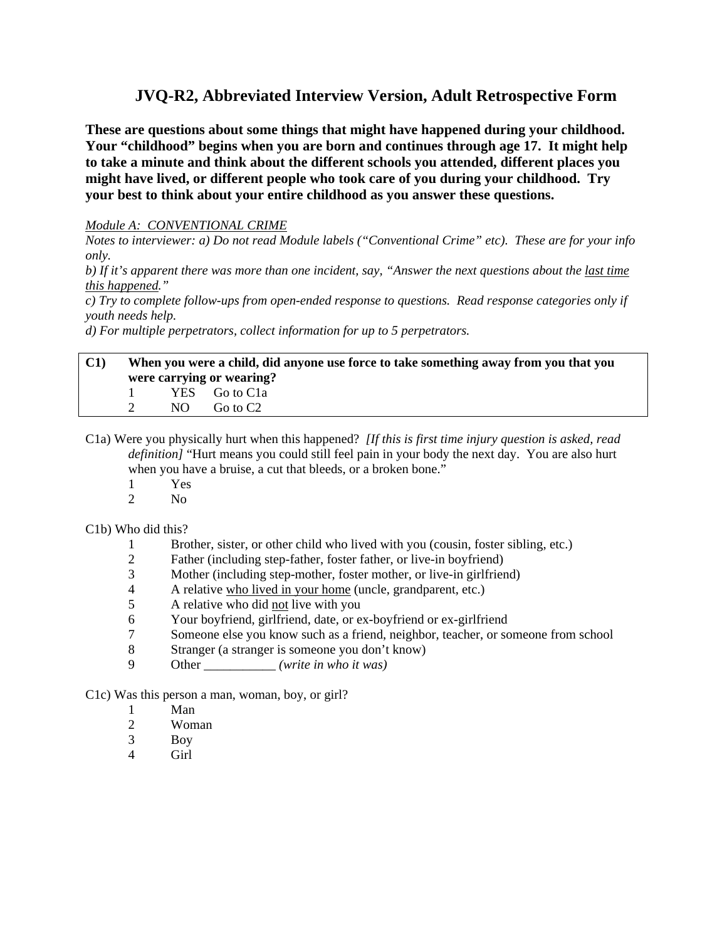# **JVQ-R2, Abbreviated Interview Version, Adult Retrospective Form**

**These are questions about some things that might have happened during your childhood. Your "childhood" begins when you are born and continues through age 17. It might help to take a minute and think about the different schools you attended, different places you might have lived, or different people who took care of you during your childhood. Try your best to think about your entire childhood as you answer these questions.** 

# *Module A: CONVENTIONAL CRIME*

*Notes to interviewer: a) Do not read Module labels ("Conventional Crime" etc). These are for your info only.* 

*b) If it's apparent there was more than one incident, say, "Answer the next questions about the last time this happened."* 

*c) Try to complete follow-ups from open-ended response to questions. Read response categories only if youth needs help.* 

*d) For multiple perpetrators, collect information for up to 5 perpetrators.* 

#### **C1) When you were a child, did anyone use force to take something away from you that you were carrying or wearing?**  1 YES Go to C1a

2 NO Go to C<sub>2</sub>

C1a) Were you physically hurt when this happened? *[If this is first time injury question is asked, read definition]* "Hurt means you could still feel pain in your body the next day. You are also hurt when you have a bruise, a cut that bleeds, or a broken bone."

- 1 Yes
- 2 No

C1b) Who did this?

- 1 Brother, sister, or other child who lived with you (cousin, foster sibling, etc.)
- 2 Father (including step-father, foster father, or live-in boyfriend)
- 3 Mother (including step-mother, foster mother, or live-in girlfriend)
- 4 A relative who lived in your home (uncle, grandparent, etc.)
- 5 A relative who did not live with you
- 6 Your boyfriend, girlfriend, date, or ex-boyfriend or ex-girlfriend
- 7 Someone else you know such as a friend, neighbor, teacher, or someone from school
- 8 Stranger (a stranger is someone you don't know)
- 9 Other \_\_\_\_\_\_\_\_\_\_\_ *(write in who it was)*

C1c) Was this person a man, woman, boy, or girl?

- 1 Man
- 2 Woman
- 3 Boy
- 4 Girl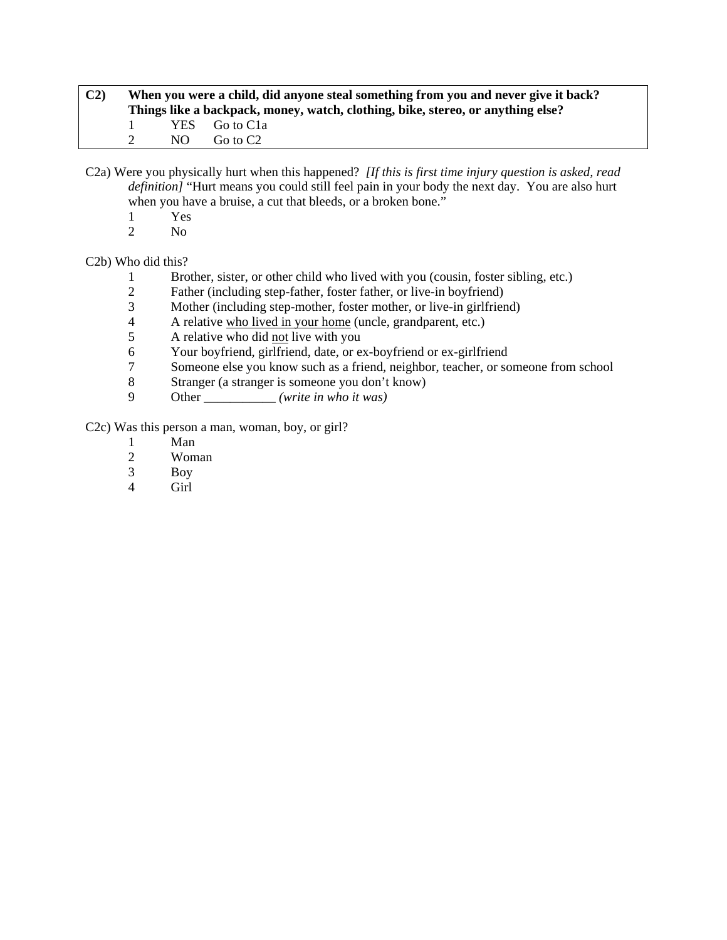| C <sub>2</sub> |              | When you were a child, did anyone steal something from you and never give it back?<br>Things like a backpack, money, watch, clothing, bike, stereo, or anything else? |                 |  |  |  |  |
|----------------|--------------|-----------------------------------------------------------------------------------------------------------------------------------------------------------------------|-----------------|--|--|--|--|
|                | $\mathbf{1}$ |                                                                                                                                                                       | YES Go to C1a   |  |  |  |  |
|                |              |                                                                                                                                                                       | $NO$ Go to $C2$ |  |  |  |  |

C2a) Were you physically hurt when this happened? *[If this is first time injury question is asked, read definition]* "Hurt means you could still feel pain in your body the next day. You are also hurt when you have a bruise, a cut that bleeds, or a broken bone."

- 1 Yes<br>2 No
- N<sub>o</sub>

# C2b) Who did this?

- 1 Brother, sister, or other child who lived with you (cousin, foster sibling, etc.)
- 2 Father (including step-father, foster father, or live-in boyfriend)
- 3 Mother (including step-mother, foster mother, or live-in girlfriend)<br>4 A relative who lived in your home (uncle, grandparent, etc.)
- 4 A relative who lived in your home (uncle, grandparent, etc.)
- 5 A relative who did not live with you
- 6 Your boyfriend, girlfriend, date, or ex-boyfriend or ex-girlfriend<br>
7 Someone else vou know such as a friend, neighbor, teacher, or so
- 7 Someone else you know such as a friend, neighbor, teacher, or someone from school
- 8 Stranger (a stranger is someone you don't know)
- 9 Other \_\_\_\_\_\_\_\_\_\_\_ *(write in who it was)*

C2c) Was this person a man, woman, boy, or girl?

- 1 Man
- 2 Woman<br>3 Boy
- Boy
- 4 Girl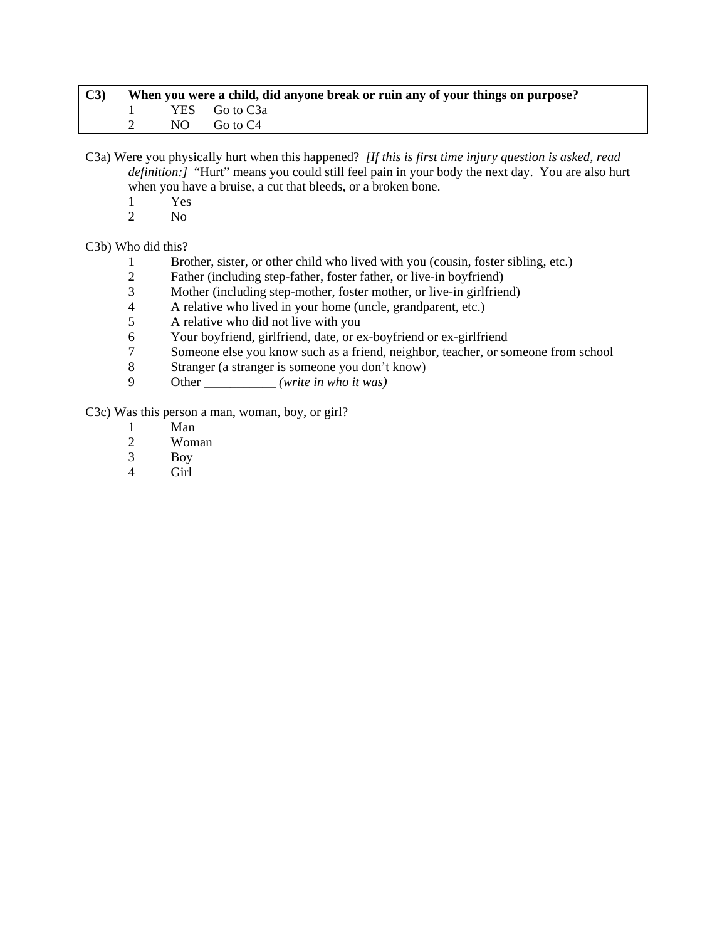| C3 | When you were a child, did anyone break or ruin any of your things on purpose? |  |                 |  |  |
|----|--------------------------------------------------------------------------------|--|-----------------|--|--|
|    |                                                                                |  | 1 YES Go to C3a |  |  |
|    |                                                                                |  | NO Goto C4      |  |  |

C3a) Were you physically hurt when this happened? *[If this is first time injury question is asked, read definition:]* "Hurt" means you could still feel pain in your body the next day. You are also hurt when you have a bruise, a cut that bleeds, or a broken bone.

- $\frac{1}{2}$  Yes
- N<sub>o</sub>

C3b) Who did this?

- 1 Brother, sister, or other child who lived with you (cousin, foster sibling, etc.)
- 2 Father (including step-father, foster father, or live-in boyfriend)
- 3 Mother (including step-mother, foster mother, or live-in girlfriend)
- 4 A relative who lived in your home (uncle, grandparent, etc.)<br>
A relative who did not live with you
- 5 A relative who did not live with you
- 6 Your boyfriend, girlfriend, date, or ex-boyfriend or ex-girlfriend
- 7 Someone else you know such as a friend, neighbor, teacher, or someone from school<br>8 Stranger (a stranger is someone you don't know)
- 8 Stranger (a stranger is someone you don't know)
- 9 Other \_\_\_\_\_\_\_\_\_\_\_ *(write in who it was)*

C3c) Was this person a man, woman, boy, or girl?

- 1 Man<br>2 Wom
- Woman
- 3 Boy
- Girl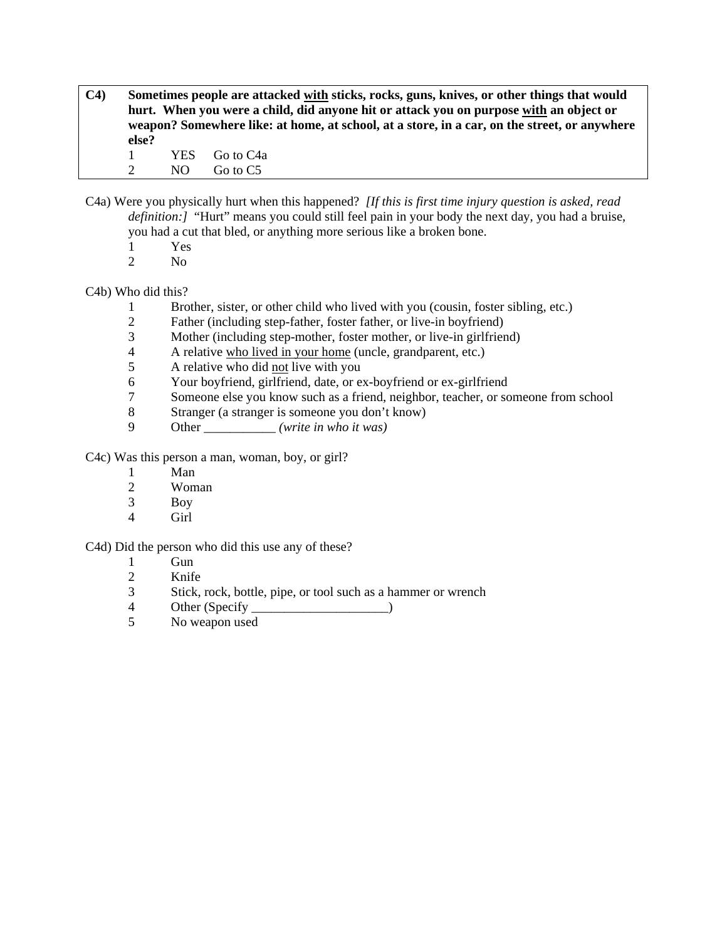**C4) Sometimes people are attacked with sticks, rocks, guns, knives, or other things that would hurt. When you were a child, did anyone hit or attack you on purpose with an object or weapon? Somewhere like: at home, at school, at a store, in a car, on the street, or anywhere else?** 

1 YES Go to C4a 2 NO Go to C5

- C4a) Were you physically hurt when this happened? *[If this is first time injury question is asked, read definition:]* "Hurt" means you could still feel pain in your body the next day, you had a bruise, you had a cut that bled, or anything more serious like a broken bone.
	-
	- 1 Yes<br>2 No N<sub>o</sub>

# C4b) Who did this?

- 1 Brother, sister, or other child who lived with you (cousin, foster sibling, etc.)
- 2 Father (including step-father, foster father, or live-in boyfriend)
- 3 Mother (including step-mother, foster mother, or live-in girlfriend)
- 4 A relative who lived in your home (uncle, grandparent, etc.)<br>
A relative who did not live with you
- 5 A relative who did not live with you
- 6 Your boyfriend, girlfriend, date, or ex-boyfriend or ex-girlfriend
- 7 Someone else you know such as a friend, neighbor, teacher, or someone from school
- 8 Stranger (a stranger is someone you don't know)
- 9 Other \_\_\_\_\_\_\_\_\_\_\_ *(write in who it was)*

C4c) Was this person a man, woman, boy, or girl?

- 1 Man
- 2 Woman
- 3 Boy
- 4 Girl

#### C4d) Did the person who did this use any of these?

- $\frac{1}{2}$  Gun<br>Knife
- Knife
- 3 Stick, rock, bottle, pipe, or tool such as a hammer or wrench
- 4 Other (Specify )
- 5 No weapon used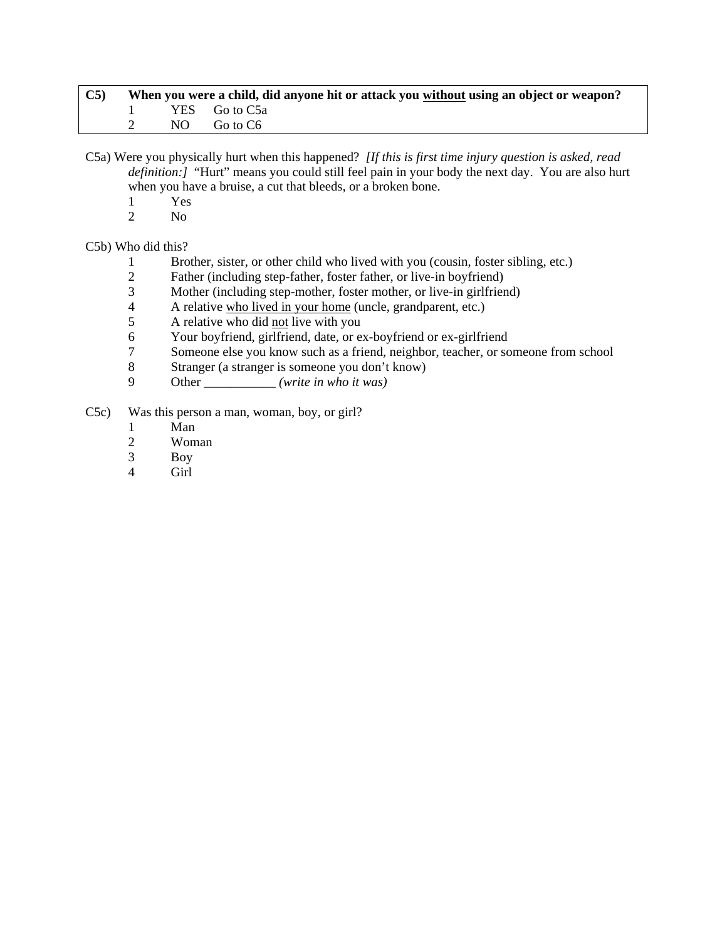| $\mathbf{C5}$ | When you were a child, did anyone hit or attack you without using an object or weapon? |                 |  |  |  |
|---------------|----------------------------------------------------------------------------------------|-----------------|--|--|--|
|               |                                                                                        | 1 YES Go to C5a |  |  |  |
|               |                                                                                        | NO GotoC6       |  |  |  |

C5a) Were you physically hurt when this happened? *[If this is first time injury question is asked, read definition:]* "Hurt" means you could still feel pain in your body the next day. You are also hurt when you have a bruise, a cut that bleeds, or a broken bone.

- $\frac{1}{2}$  Yes
- N<sub>o</sub>

C5b) Who did this?

- 1 Brother, sister, or other child who lived with you (cousin, foster sibling, etc.)
- 2 Father (including step-father, foster father, or live-in boyfriend)
- 3 Mother (including step-mother, foster mother, or live-in girlfriend)
- 4 A relative who lived in your home (uncle, grandparent, etc.)<br>5 A relative who did not live with you
- 5 A relative who did not live with you
- 6 Your boyfriend, girlfriend, date, or ex-boyfriend or ex-girlfriend
- 7 Someone else you know such as a friend, neighbor, teacher, or someone from school<br>8 Stranger (a stranger is someone you don't know)
- 8 Stranger (a stranger is someone you don't know)
- 9 Other \_\_\_\_\_\_\_\_\_\_\_ *(write in who it was)*
- C5c) Was this person a man, woman, boy, or girl?
	- 1 Man
	- 2 Woman
	- 3 Boy
	- Girl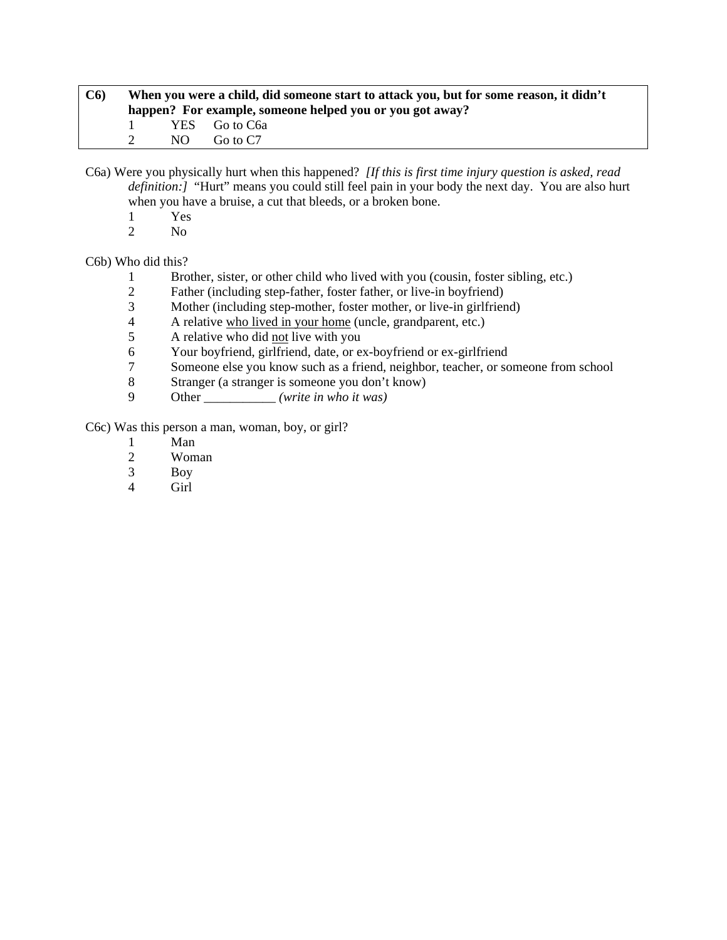| C6 |              |     | When you were a child, did someone start to attack you, but for some reason, it didn't<br>happen? For example, someone helped you or you got away? |
|----|--------------|-----|----------------------------------------------------------------------------------------------------------------------------------------------------|
|    | $\mathbf{1}$ |     | YES Go to C <sub>6a</sub>                                                                                                                          |
|    |              | NO. | Go to C7                                                                                                                                           |

C6a) Were you physically hurt when this happened? *[If this is first time injury question is asked, read definition:]* "Hurt" means you could still feel pain in your body the next day. You are also hurt when you have a bruise, a cut that bleeds, or a broken bone.

- $\frac{1}{2}$  Yes
- N<sub>o</sub>

C6b) Who did this?

- 1 Brother, sister, or other child who lived with you (cousin, foster sibling, etc.)
- 2 Father (including step-father, foster father, or live-in boyfriend)
- 3 Mother (including step-mother, foster mother, or live-in girlfriend)<br>4 A relative who lived in your home (uncle, grandparent, etc.)
- 4 A relative who lived in your home (uncle, grandparent, etc.)
- 5 A relative who did not live with you
- 6 Your boyfriend, girlfriend, date, or ex-boyfriend or ex-girlfriend<br>
7 Someone else vou know such as a friend, neighbor, teacher, or so
- 7 Someone else you know such as a friend, neighbor, teacher, or someone from school
- 8 Stranger (a stranger is someone you don't know)
- 9 Other \_\_\_\_\_\_\_\_\_\_\_ *(write in who it was)*

C6c) Was this person a man, woman, boy, or girl?

- 1 Man
- 2 Woman<br>3 Boy
- Boy
- 4 Girl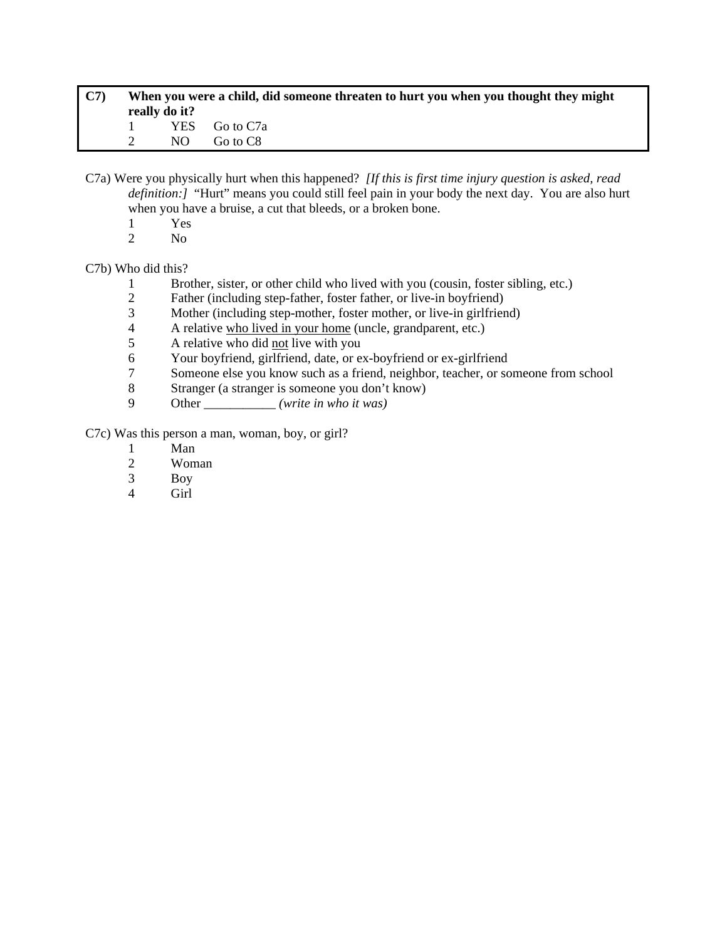| C7 |                              | really do it? | When you were a child, did someone threaten to hurt you when you thought they might |
|----|------------------------------|---------------|-------------------------------------------------------------------------------------|
|    | $\sim$ 1.0 $\sim$ 1.0 $\sim$ |               | YES Go to C7a                                                                       |
|    |                              |               | NO Go to C8                                                                         |

C7a) Were you physically hurt when this happened? *[If this is first time injury question is asked, read definition:]* "Hurt" means you could still feel pain in your body the next day. You are also hurt when you have a bruise, a cut that bleeds, or a broken bone.

- 1 Yes
- 2 No

### C7b) Who did this?

- 1 Brother, sister, or other child who lived with you (cousin, foster sibling, etc.)
- 2 Father (including step-father, foster father, or live-in boyfriend)
- 3 Mother (including step-mother, foster mother, or live-in girlfriend)
- 4 A relative who lived in your home (uncle, grandparent, etc.)
- 5 A relative who did not live with you
- 6 Your boyfriend, girlfriend, date, or ex-boyfriend or ex-girlfriend
- 7 Someone else you know such as a friend, neighbor, teacher, or someone from school<br>8 Stranger (a stranger is someone you don't know)
- 8 Stranger (a stranger is someone you don't know)
- 9 Other \_\_\_\_\_\_\_\_\_\_\_ *(write in who it was)*

C7c) Was this person a man, woman, boy, or girl?

- 1 Man
- 2 Woman<br>3 Boy
- Boy
- 4 Girl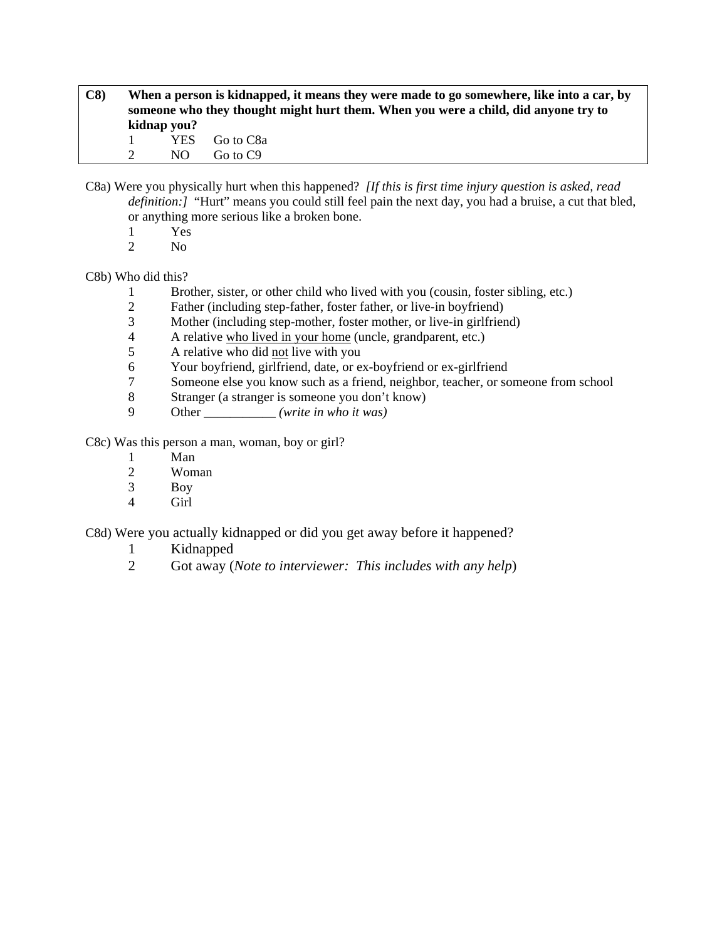- **C8) When a person is kidnapped, it means they were made to go somewhere, like into a car, by someone who they thought might hurt them. When you were a child, did anyone try to kidnap you?**  1 YES Go to C8a 2 NO Go to C9
- C8a) Were you physically hurt when this happened? *[If this is first time injury question is asked, read definition:]* "Hurt" means you could still feel pain the next day, you had a bruise, a cut that bled, or anything more serious like a broken bone.
	- 1 Yes
	- 2 No

# C8b) Who did this?

- 1 Brother, sister, or other child who lived with you (cousin, foster sibling, etc.)
- 2 Father (including step-father, foster father, or live-in boyfriend)<br>3 Mother (including step-mother, foster mother, or live-in girlfrien
- 3 Mother (including step-mother, foster mother, or live-in girlfriend)
- 4 A relative who lived in your home (uncle, grandparent, etc.)
- 5 A relative who did not live with you
- 6 Your boyfriend, girlfriend, date, or ex-boyfriend or ex-girlfriend
- 7 Someone else you know such as a friend, neighbor, teacher, or someone from school
- 8 Stranger (a stranger is someone you don't know)
- 9 Other \_\_\_\_\_\_\_\_\_\_\_ *(write in who it was)*

C8c) Was this person a man, woman, boy or girl?

- 1 Man<br>2 Wom
- Woman
- 3 Boy
- 4 Girl

C8d) Were you actually kidnapped or did you get away before it happened?

- 1 Kidnapped
- 2 Got away (*Note to interviewer: This includes with any help*)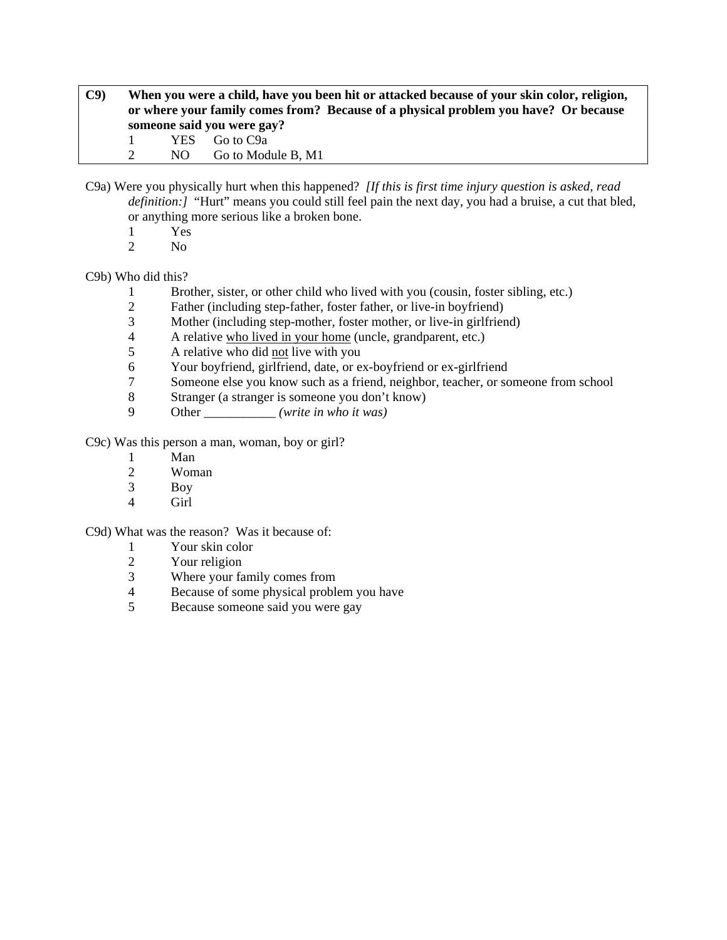# **C9) When you were a child, have you been hit or attacked because of your skin color, religion, or where your family comes from? Because of a physical problem you have? Or because someone said you were gay?**  1 YES Go to C9a

2 NO Go to Module B, M1

- C9a) Were you physically hurt when this happened? *[If this is first time injury question is asked, read definition:]* "Hurt" means you could still feel pain the next day, you had a bruise, a cut that bled, or anything more serious like a broken bone.
	- 1 Yes
	- 2 No

# C9b) Who did this?

- 1 Brother, sister, or other child who lived with you (cousin, foster sibling, etc.)
- 2 Father (including step-father, foster father, or live-in boyfriend)<br>3 Mother (including step-mother, foster mother, or live-in girlfrien
- 3 Mother (including step-mother, foster mother, or live-in girlfriend)
- 4 A relative who lived in your home (uncle, grandparent, etc.)
- 5 A relative who did not live with you
- 6 Your boyfriend, girlfriend, date, or ex-boyfriend or ex-girlfriend
- 7 Someone else you know such as a friend, neighbor, teacher, or someone from school
- 8 Stranger (a stranger is someone you don't know)
- 9 Other \_\_\_\_\_\_\_\_\_\_\_ *(write in who it was)*

C9c) Was this person a man, woman, boy or girl?

- 1 Man<br>2 Wom
- Woman
- 3 Boy
- 4 Girl

C9d) What was the reason? Was it because of:

- 
- 1 Your skin color<br>2 Your religion
- 2 Your religion<br>3 Where your fa Where your family comes from
- 4 Because of some physical problem you have
- 5 Because someone said you were gay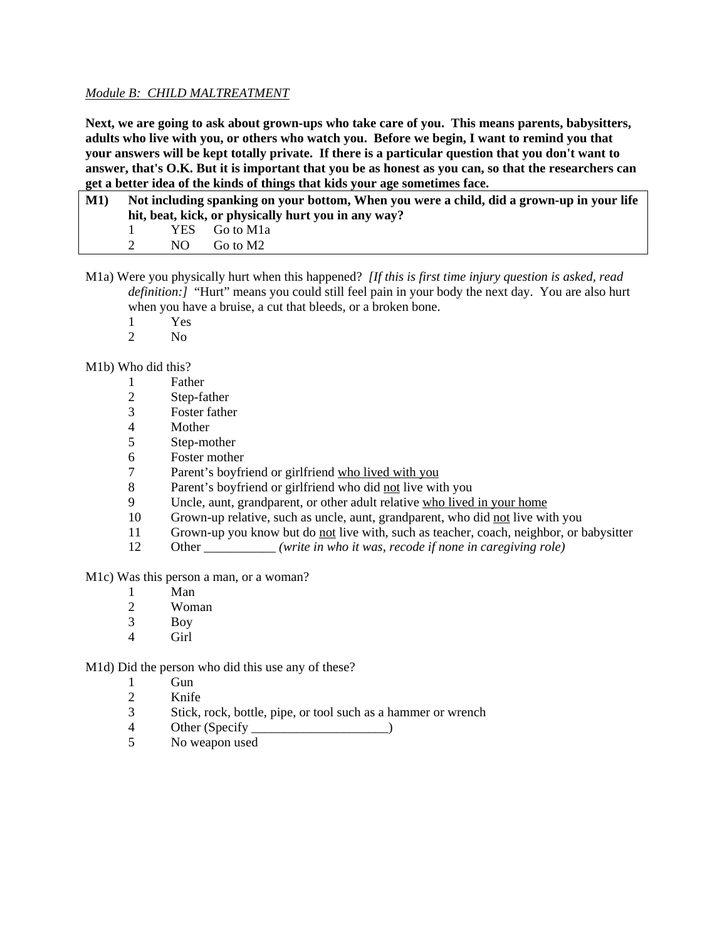# *Module B: CHILD MALTREATMENT*

**Next, we are going to ask about grown-ups who take care of you. This means parents, babysitters, adults who live with you, or others who watch you. Before we begin, I want to remind you that your answers will be kept totally private. If there is a particular question that you don't want to answer, that's O.K. But it is important that you be as honest as you can, so that the researchers can get a better idea of the kinds of things that kids your age sometimes face.** 

| <b>M1</b> ) |                                                     | Not including spanking on your bottom, When you were a child, did a grown-up in your life |  |  |  |  |
|-------------|-----------------------------------------------------|-------------------------------------------------------------------------------------------|--|--|--|--|
|             | hit, beat, kick, or physically hurt you in any way? |                                                                                           |  |  |  |  |
|             |                                                     | YES Go to M1a                                                                             |  |  |  |  |
|             | NO.                                                 | Go to M2                                                                                  |  |  |  |  |

M1a) Were you physically hurt when this happened? *[If this is first time injury question is asked, read definition:]* "Hurt" means you could still feel pain in your body the next day. You are also hurt when you have a bruise, a cut that bleeds, or a broken bone.

- 1 Yes
- 2  $N<sub>0</sub>$

M1b) Who did this?

- 1 Father
- 2 Step-father
- 3 Foster father
- 4 Mother
- 5 Step-mother
- 6 Foster mother
- 7 Parent's boyfriend or girlfriend who lived with you
- 8 Parent's boyfriend or girlfriend who did not live with you
- 9 Uncle, aunt, grandparent, or other adult relative who lived in your home
- 10 Grown-up relative, such as uncle, aunt, grandparent, who did not live with you
- 11 Grown-up you know but do not live with, such as teacher, coach, neighbor, or babysitter
- 12 Other \_\_\_\_\_\_\_\_\_\_\_ *(write in who it was, recode if none in caregiving role)*

M1c) Was this person a man, or a woman?

- 1 Man
- 2 Woman
- 3 Boy
- 4 Girl

M1d) Did the person who did this use any of these?

- 1 Gun
- 2 Knife
- 3 Stick, rock, bottle, pipe, or tool such as a hammer or wrench
- 4 Other (Specify )
- 5 No weapon used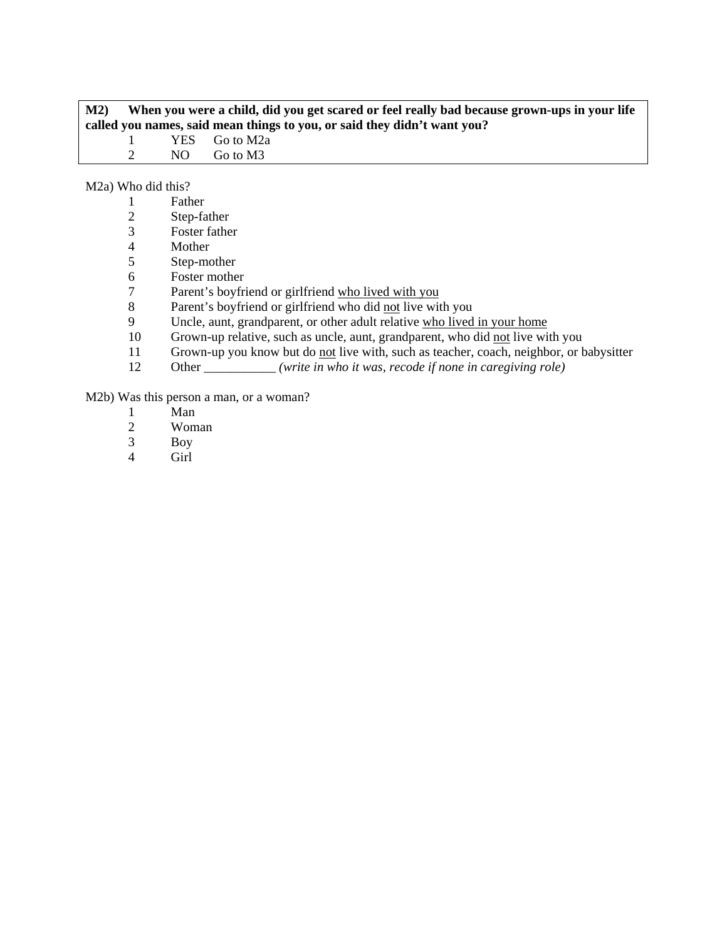| M2 |               | When you were a child, did you get scared or feel really bad because grown-ups in your life |                                                                          |  |  |  |
|----|---------------|---------------------------------------------------------------------------------------------|--------------------------------------------------------------------------|--|--|--|
|    |               |                                                                                             | called you names, said mean things to you, or said they didn't want you? |  |  |  |
|    |               |                                                                                             | YES Go to M2a                                                            |  |  |  |
|    | $\mathcal{D}$ | N()                                                                                         | Go to M3                                                                 |  |  |  |
|    |               |                                                                                             |                                                                          |  |  |  |

M2a) Who did this?

| Father |  |  |
|--------|--|--|
| $\sim$ |  |  |

- 2 Step-father<br>3 Foster fathe
- 3 Foster father
- 4 Mother<br>5 Step-mo
- Step-mother
- 6 Foster mother
- 7 Parent's boyfriend or girlfriend who lived with you
- 8 Parent's boyfriend or girlfriend who did <u>not</u> live with you<br>9 Uncle, aunt, grandparent, or other adult relative who lived
- Uncle, aunt, grandparent, or other adult relative who lived in your home
- 10 Grown-up relative, such as uncle, aunt, grandparent, who did not live with you
- 11 Grown-up you know but do <u>not</u> live with, such as teacher, coach, neighbor, or babysitter<br>12 Other *(write in who it was, recode if none in caregiving role)*
- Other \_\_\_\_\_\_\_\_\_\_\_ *(write in who it was, recode if none in caregiving role)*

M2b) Was this person a man, or a woman?

- 1 Man
- 2 Woman<br>3 Boy
- 3 Boy
- Girl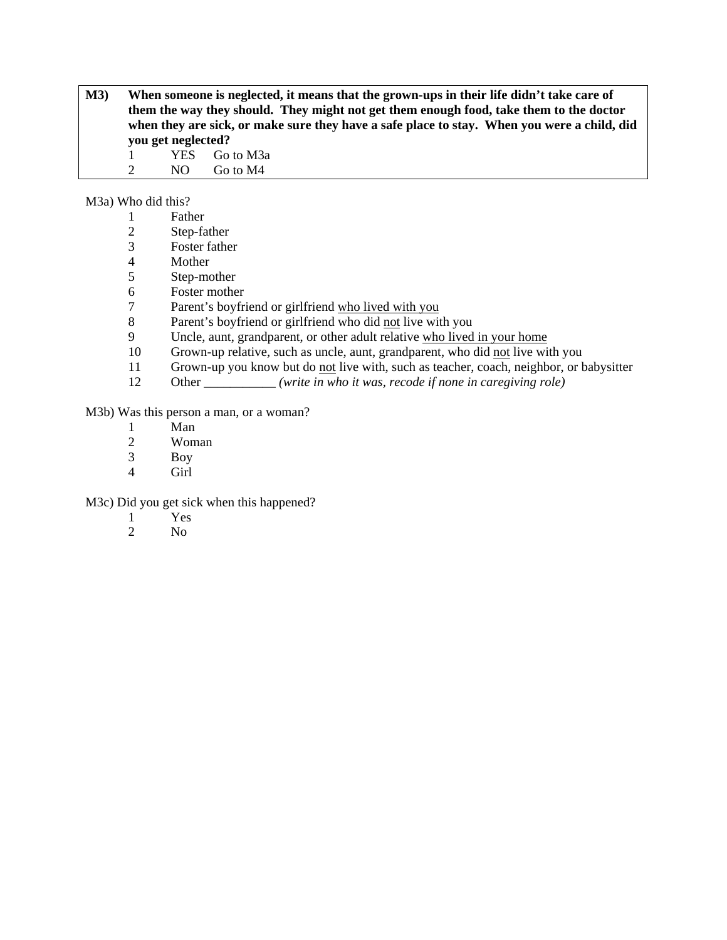**M3) When someone is neglected, it means that the grown-ups in their life didn't take care of them the way they should. They might not get them enough food, take them to the doctor**  when they are sick, or make sure they have a safe place to stay. When you were a child, did **you get neglected?** 

1 YES Go to M3a 2 NO Go to M4

M3a) Who did this?

- 2 Step-father
- 3 Foster father
- **Mother**
- 5 Step-mother
- 6 Foster mother
- 7 Parent's boyfriend or girlfriend who lived with you
- 8 Parent's boyfriend or girlfriend who did not live with you
- 9 Uncle, aunt, grandparent, or other adult relative who lived in your home
- 10 Grown-up relative, such as uncle, aunt, grandparent, who did not live with you
- 11 Grown-up you know but do not live with, such as teacher, coach, neighbor, or babysitter
- 12 Other *(write in who it was, recode if none in caregiving role)*

M3b) Was this person a man, or a woman?

- 1 Man<br>2 Wom
- Woman
- 3 Boy
- 4 Girl

M3c) Did you get sick when this happened?

- 1 Yes
- 2 No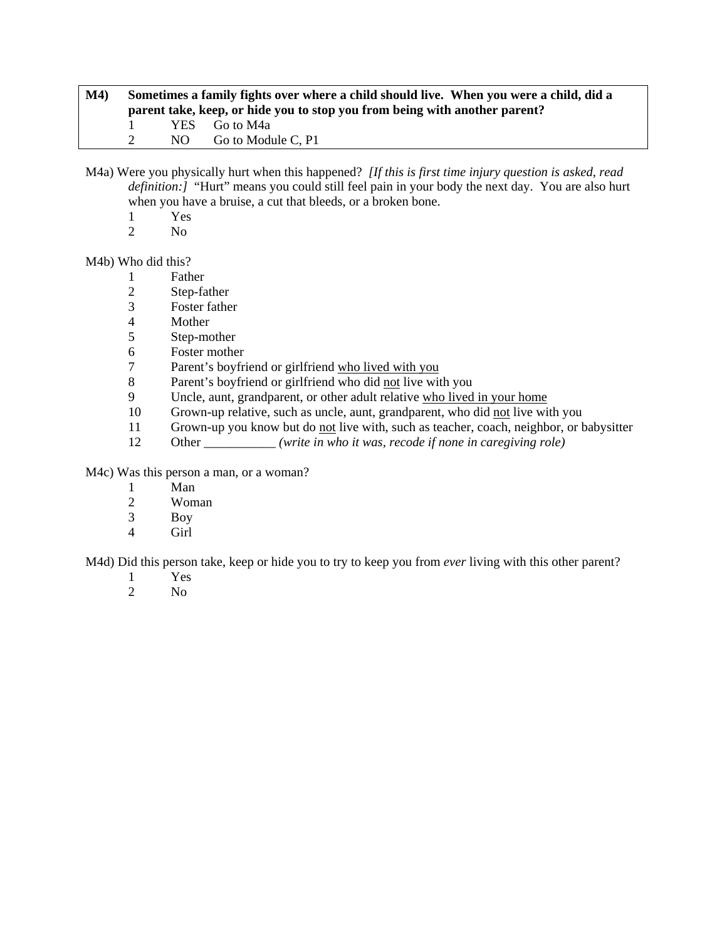| M4) | Sometimes a family fights over where a child should live. When you were a child, did a |  |                                                                            |  |  |  |
|-----|----------------------------------------------------------------------------------------|--|----------------------------------------------------------------------------|--|--|--|
|     |                                                                                        |  | parent take, keep, or hide you to stop you from being with another parent? |  |  |  |
|     |                                                                                        |  | YES Go to M4a                                                              |  |  |  |
|     |                                                                                        |  | NO Go to Module C. P1                                                      |  |  |  |

M4a) Were you physically hurt when this happened? *[If this is first time injury question is asked, read definition:]* "Hurt" means you could still feel pain in your body the next day. You are also hurt when you have a bruise, a cut that bleeds, or a broken bone.

- $\frac{1}{2}$  Yes
- N<sub>o</sub>

M4b) Who did this?

- 1 Father
- 2 Step-father
- 3 Foster father
- **Mother**
- 5 Step-mother
- 6 Foster mother<br>7 Parent's boyfri
- Parent's boyfriend or girlfriend who lived with you
- 8 Parent's boyfriend or girlfriend who did not live with you
- 9 Uncle, aunt, grandparent, or other adult relative who lived in your home
- 10 Grown-up relative, such as uncle, aunt, grandparent, who did not live with you
- 11 Grown-up you know but do not live with, such as teacher, coach, neighbor, or babysitter
- 12 Other \_\_\_\_\_\_\_\_\_\_\_ *(write in who it was, recode if none in caregiving role)*

M4c) Was this person a man, or a woman?

- 1 Man
- 2 Woman
- 3 Boy
- 4 Girl

M4d) Did this person take, keep or hide you to try to keep you from *ever* living with this other parent?

- 1 Yes<br>2 No
- N<sub>o</sub>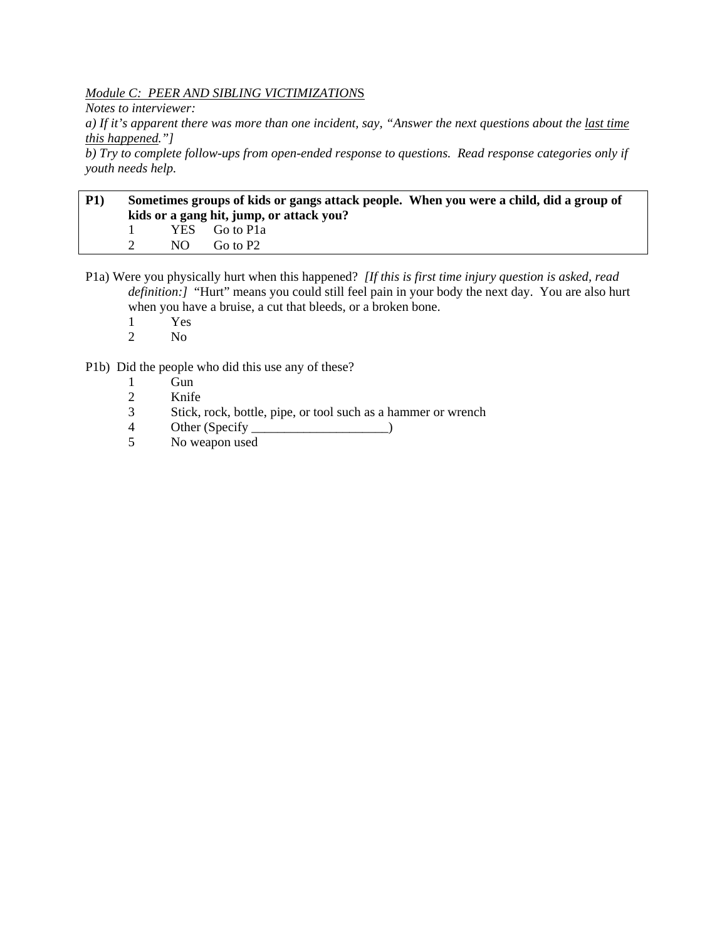*Module C: PEER AND SIBLING VICTIMIZATION*S

*Notes to interviewer:* 

*a) If it's apparent there was more than one incident, say, "Answer the next questions about the last time this happened."]* 

*b) Try to complete follow-ups from open-ended response to questions. Read response categories only if youth needs help.* 

# **P1) Sometimes groups of kids or gangs attack people. When you were a child, did a group of kids or a gang hit, jump, or attack you?**  1 YES Go to P1a 2 NO Go to P2

P1a) Were you physically hurt when this happened? *[If this is first time injury question is asked, read definition:]* "Hurt" means you could still feel pain in your body the next day. You are also hurt when you have a bruise, a cut that bleeds, or a broken bone.

- 1 Yes
- 2 No

P1b) Did the people who did this use any of these?

- 1 Gun
- 2 Knife
- 3 Stick, rock, bottle, pipe, or tool such as a hammer or wrench
- 4 Other (Specify \_\_\_\_\_\_\_\_\_\_\_\_\_\_\_\_\_\_\_\_\_\_\_\_\_\_\_)
- 5 No weapon used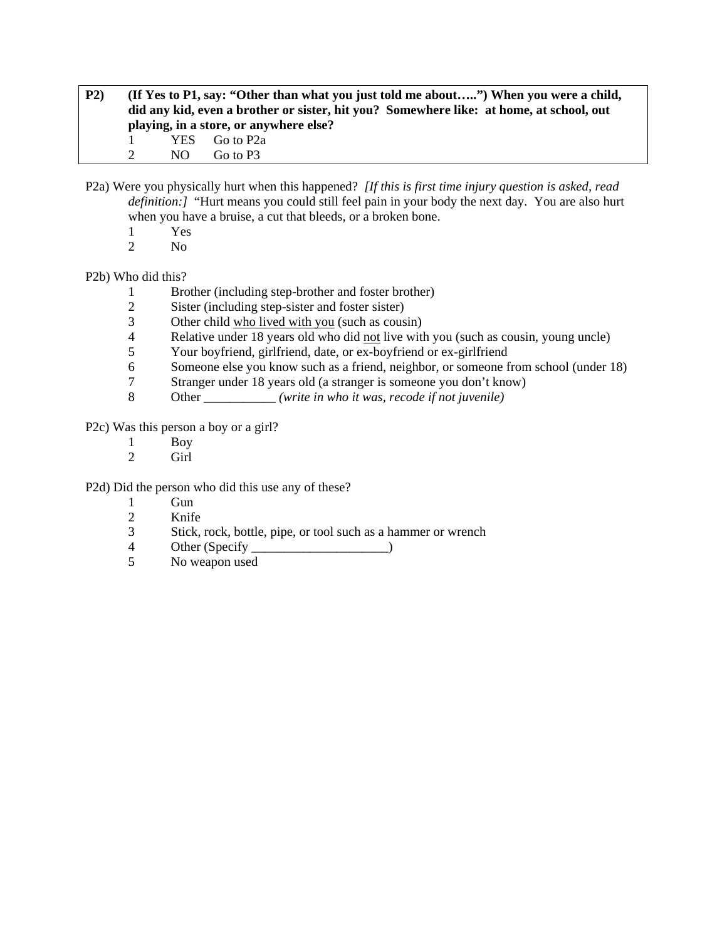**P2) (If Yes to P1, say: "Other than what you just told me about…..") When you were a child, did any kid, even a brother or sister, hit you? Somewhere like: at home, at school, out playing, in a store, or anywhere else?**  1 YES Go to P2a 2 NO Go to P3

P2a) Were you physically hurt when this happened? *[If this is first time injury question is asked, read definition:]* "Hurt means you could still feel pain in your body the next day. You are also hurt when you have a bruise, a cut that bleeds, or a broken bone.

- 1 Yes
- 2 No

#### P2b) Who did this?

- 1 Brother (including step-brother and foster brother)
- 2 Sister (including step-sister and foster sister)
- 3 Other child who lived with you (such as cousin)
- 4 Relative under 18 years old who did not live with you (such as cousin, young uncle)
- 5 Your boyfriend, girlfriend, date, or ex-boyfriend or ex-girlfriend
- 6 Someone else you know such as a friend, neighbor, or someone from school (under 18)
- 7 Stranger under 18 years old (a stranger is someone you don't know)
- 8 Other *(write in who it was, recode if not juvenile)*

P2c) Was this person a boy or a girl?

- 1 Boy
- 2 Girl

P2d) Did the person who did this use any of these?

- 1 Gun<br>2 Knife
- Knife
- 3 Stick, rock, bottle, pipe, or tool such as a hammer or wrench
- 4 Other (Specify \_\_\_\_\_\_\_\_\_\_\_\_\_\_\_\_\_\_\_\_\_)
- 5 No weapon used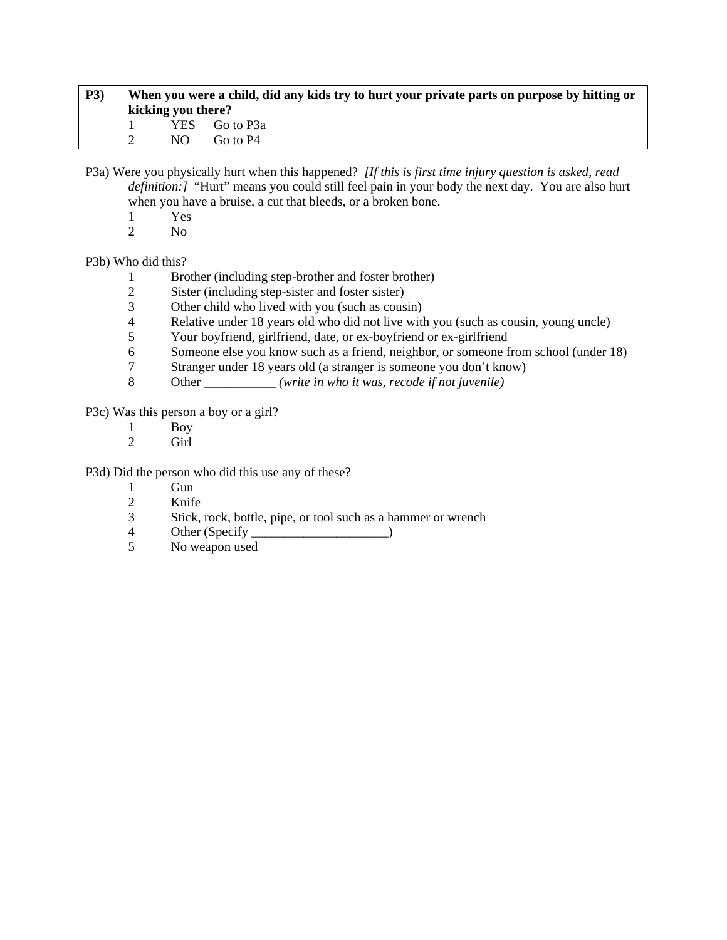| <b>P3</b> ) |                    |     | When you were a child, did any kids try to hurt your private parts on purpose by hitting or |  |  |
|-------------|--------------------|-----|---------------------------------------------------------------------------------------------|--|--|
|             | kicking you there? |     |                                                                                             |  |  |
|             |                    |     | YES Go to P3a                                                                               |  |  |
|             |                    | NO. | Go to P4                                                                                    |  |  |

P3a) Were you physically hurt when this happened? *[If this is first time injury question is asked, read definition:]* "Hurt" means you could still feel pain in your body the next day. You are also hurt when you have a bruise, a cut that bleeds, or a broken bone.

- $\frac{1}{2}$  Yes
- N<sub>o</sub>

P3b) Who did this?

- 1 Brother (including step-brother and foster brother)
- 2 Sister (including step-sister and foster sister)
- 3 Other child who lived with you (such as cousin)<br>4 Relative under 18 years old who did not live with
- Relative under 18 years old who did not live with you (such as cousin, young uncle)
- 5 Your boyfriend, girlfriend, date, or ex-boyfriend or ex-girlfriend
- 6 Someone else you know such as a friend, neighbor, or someone from school (under 18)
- 7 Stranger under 18 years old (a stranger is someone you don't know)
- 8 Other \_\_\_\_\_\_\_\_\_\_\_ *(write in who it was, recode if not juvenile)*

P3c) Was this person a boy or a girl?

- $\frac{1}{2}$  Boy
- Girl

P3d) Did the person who did this use any of these?

- 1 Gun
- 2 Knife
- 3 Stick, rock, bottle, pipe, or tool such as a hammer or wrench
- 4 Other (Specify \_\_\_\_\_\_\_\_\_\_\_\_\_\_\_\_\_\_\_\_\_)
- 5 No weapon used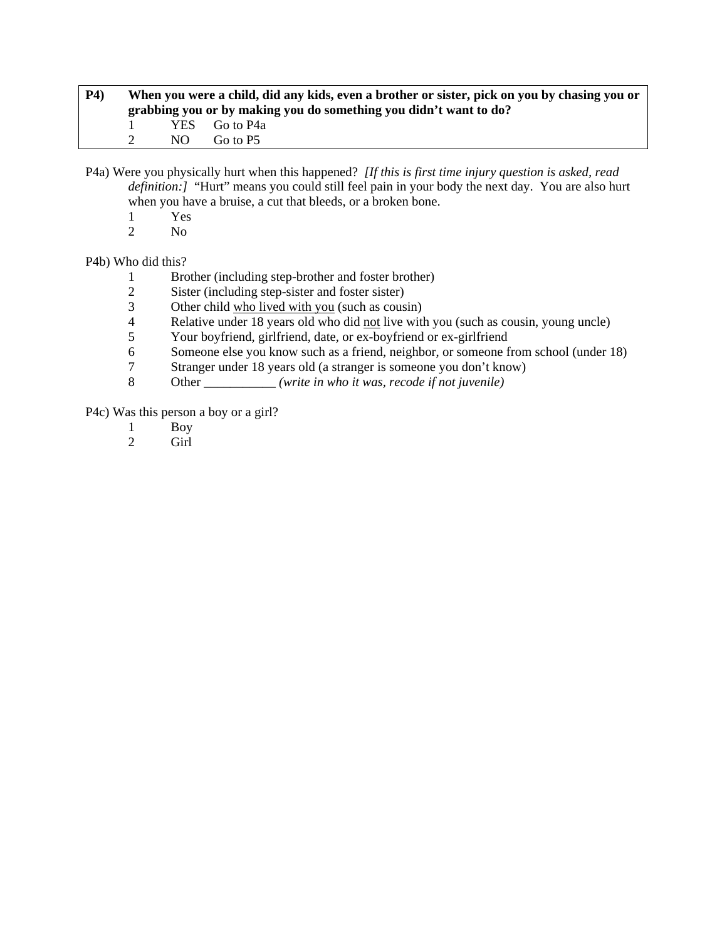| <b>P4</b> ) | When you were a child, did any kids, even a brother or sister, pick on you by chasing you or<br>grabbing you or by making you do something you didn't want to do? |                           |  |  |  |  |
|-------------|-------------------------------------------------------------------------------------------------------------------------------------------------------------------|---------------------------|--|--|--|--|
|             | NO.                                                                                                                                                               | YES Go to P4a<br>Go to P5 |  |  |  |  |

P4a) Were you physically hurt when this happened? *[If this is first time injury question is asked, read definition:]* "Hurt" means you could still feel pain in your body the next day. You are also hurt when you have a bruise, a cut that bleeds, or a broken bone.

- $\frac{1}{2}$  Yes
- N<sub>o</sub>

P4b) Who did this?

- 1 Brother (including step-brother and foster brother)
- 2 Sister (including step-sister and foster sister)
- 3 Other child who lived with you (such as cousin)<br>4 Relative under 18 years old who did not live with
- Relative under 18 years old who did not live with you (such as cousin, young uncle)
- 5 Your boyfriend, girlfriend, date, or ex-boyfriend or ex-girlfriend
- 6 Someone else you know such as a friend, neighbor, or someone from school (under 18)
- 7 Stranger under 18 years old (a stranger is someone you don't know)
- 8 Other \_\_\_\_\_\_\_\_\_\_\_ *(write in who it was, recode if not juvenile)*

P4c) Was this person a boy or a girl?

- 1 Boy<br>2 Girl
- Girl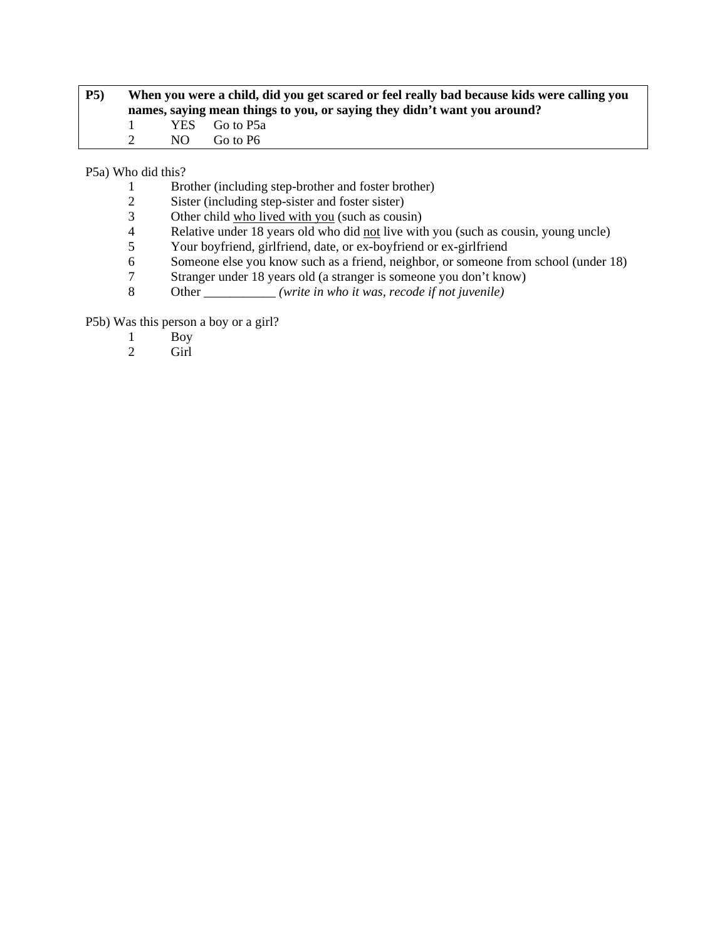| P5) | When you were a child, did you get scared or feel really bad because kids were calling you<br>names, saying mean things to you, or saying they didn't want you around? |     |               |  |
|-----|------------------------------------------------------------------------------------------------------------------------------------------------------------------------|-----|---------------|--|
|     | $\mathbf{1}$                                                                                                                                                           |     | YES Go to P5a |  |
|     |                                                                                                                                                                        | NO. | Go to P6      |  |

P5a) Who did this?

- 1 Brother (including step-brother and foster brother)
- 2 Sister (including step-sister and foster sister)<br>3 Other child who lived with you (such as cous
- 3 Other child who lived with you (such as cousin)<br>4 Relative under 18 years old who did not live with
- 4 Relative under 18 years old who did <u>not</u> live with you (such as cousin, young uncle)<br>5 Your boyfriend, girlfriend, date, or ex-boyfriend or ex-girlfriend
- 5 Your boyfriend, girlfriend, date, or ex-boyfriend or ex-girlfriend<br>6 Someone else you know such as a friend, neighbor, or someone f
- Someone else you know such as a friend, neighbor, or someone from school (under 18)
- 7 Stranger under 18 years old (a stranger is someone you don't know)
- 8 Other \_\_\_\_\_\_\_\_\_\_\_ *(write in who it was, recode if not juvenile)*

P5b) Was this person a boy or a girl?

- 1 Boy<br>2 Girl
- Girl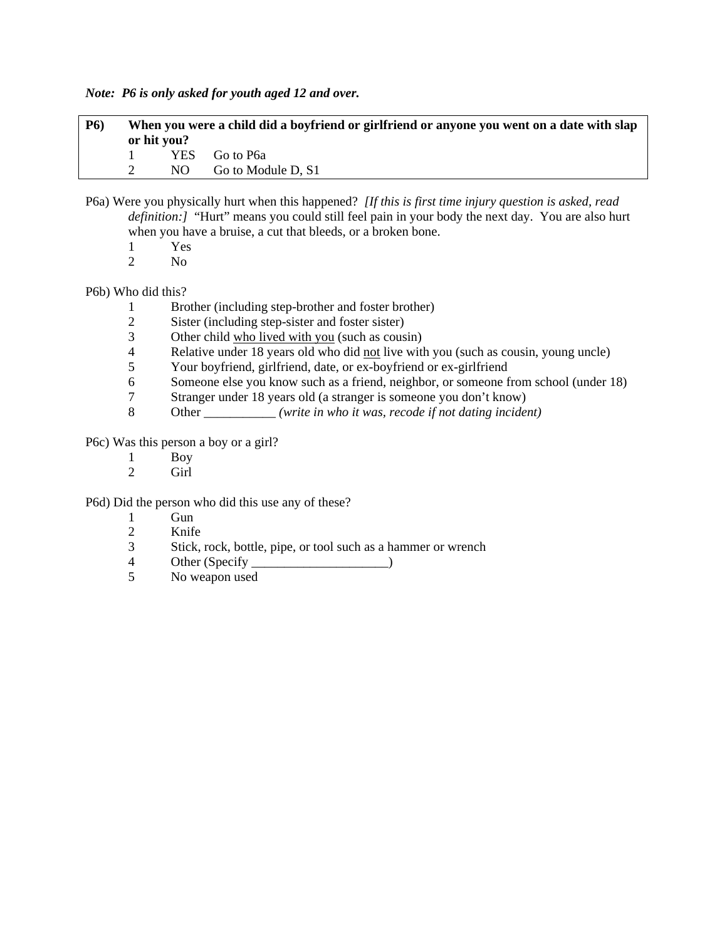*Note: P6 is only asked for youth aged 12 and over.* 

| <b>P6</b> ) | When you were a child did a boyfriend or girlfriend or anyone you went on a date with slap<br>or hit you? |            |                         |
|-------------|-----------------------------------------------------------------------------------------------------------|------------|-------------------------|
|             |                                                                                                           | <b>YES</b> | Go to P6a               |
|             |                                                                                                           |            | $NO$ Go to Module D, S1 |

- P6a) Were you physically hurt when this happened? *[If this is first time injury question is asked, read definition:* [ "Hurt" means you could still feel pain in your body the next day. You are also hurt when you have a bruise, a cut that bleeds, or a broken bone.
	- 1 Yes<br>2 No
	- N<sub>o</sub>

P6b) Who did this?

- 1 Brother (including step-brother and foster brother)<br>2 Sister (including step-sister and foster sister)
- Sister (including step-sister and foster sister)
- 3 Other child who lived with you (such as cousin)
- 4 Relative under 18 years old who did <u>not</u> live with you (such as cousin, young uncle)<br>5 Your boyfriend, girlfriend, date, or ex-boyfriend or ex-girlfriend
- 5 Your boyfriend, girlfriend, date, or ex-boyfriend or ex-girlfriend
- 6 Someone else you know such as a friend, neighbor, or someone from school (under 18)
- 7 Stranger under 18 years old (a stranger is someone you don't know)
- 8 Other \_\_\_\_\_\_\_\_\_\_\_ *(write in who it was, recode if not dating incident)*

P6c) Was this person a boy or a girl?

- 1 Boy<br>2 Girl
- Girl

P6d) Did the person who did this use any of these?

- 1 Gun
- 2 Knife
- 3 Stick, rock, bottle, pipe, or tool such as a hammer or wrench
- 4 Other (Specify )
- 5 No weapon used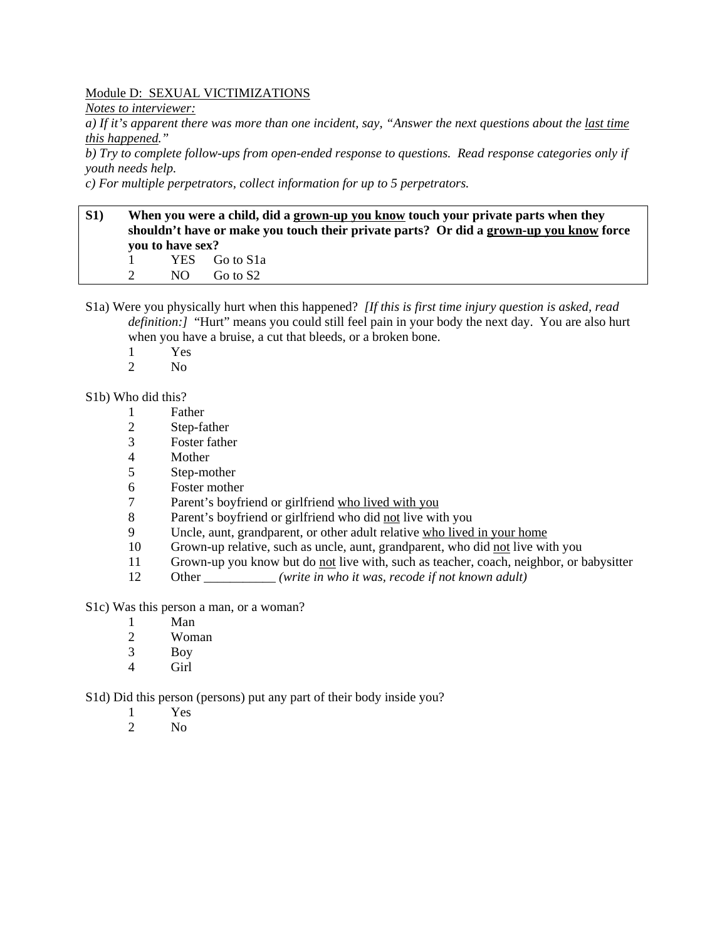### Module D: SEXUAL VICTIMIZATIONS

*Notes to interviewer:* 

*a) If it's apparent there was more than one incident, say, "Answer the next questions about the last time this happened."* 

*b) Try to complete follow-ups from open-ended response to questions. Read response categories only if youth needs help.* 

*c) For multiple perpetrators, collect information for up to 5 perpetrators.* 

# **S1) When you were a child, did a grown-up you know touch your private parts when they shouldn't have or make you touch their private parts? Or did a grown-up you know force you to have sex?**  1 YES Go to S1a 2 NO Go to S2

- S1a) Were you physically hurt when this happened? *[If this is first time injury question is asked, read definition:]* "Hurt" means you could still feel pain in your body the next day. You are also hurt when you have a bruise, a cut that bleeds, or a broken bone.
	- 1 Yes<br>2 No
	- N<sub>o</sub>

### S1b) Who did this?

- 1 Father
- 2 Step-father
- 3 Foster father
- 4 Mother
- 5 Step-mother
- 6 Foster mother
- 7 Parent's boyfriend or girlfriend who lived with you
- 8 Parent's boyfriend or girlfriend who did not live with you
- 9 Uncle, aunt, grandparent, or other adult relative who lived in your home
- 10 Grown-up relative, such as uncle, aunt, grandparent, who did not live with you
- 11 Grown-up you know but do not live with, such as teacher, coach, neighbor, or babysitter
- 12 Other *(write in who it was, recode if not known adult)*
- S1c) Was this person a man, or a woman?
	- 1 Man
	- 2 Woman
	- 3 Boy
	- 4 Girl

S1d) Did this person (persons) put any part of their body inside you?

- 1 Yes
- 2  $N<sub>0</sub>$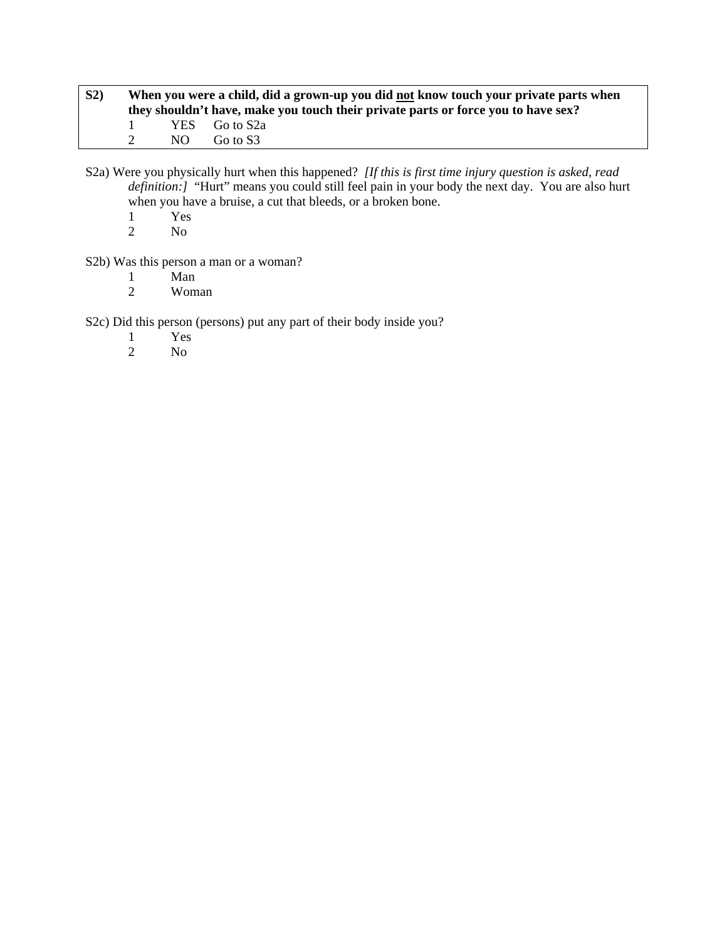| S <sub>2</sub> | When you were a child, did a grown-up you did not know touch your private parts when<br>they shouldn't have, make you touch their private parts or force you to have sex? |      |               |  |
|----------------|---------------------------------------------------------------------------------------------------------------------------------------------------------------------------|------|---------------|--|
|                |                                                                                                                                                                           |      | YES Go to S2a |  |
|                |                                                                                                                                                                           | NO - | Go to S3      |  |

S2a) Were you physically hurt when this happened? *[If this is first time injury question is asked, read definition:]* "Hurt" means you could still feel pain in your body the next day. You are also hurt when you have a bruise, a cut that bleeds, or a broken bone.

- $\frac{1}{2}$  Yes
- N<sub>o</sub>

S2b) Was this person a man or a woman?

- 1 Man<br>2 Wom
- 2 Woman

S2c) Did this person (persons) put any part of their body inside you?

- 1 Yes<br>2 No
- No.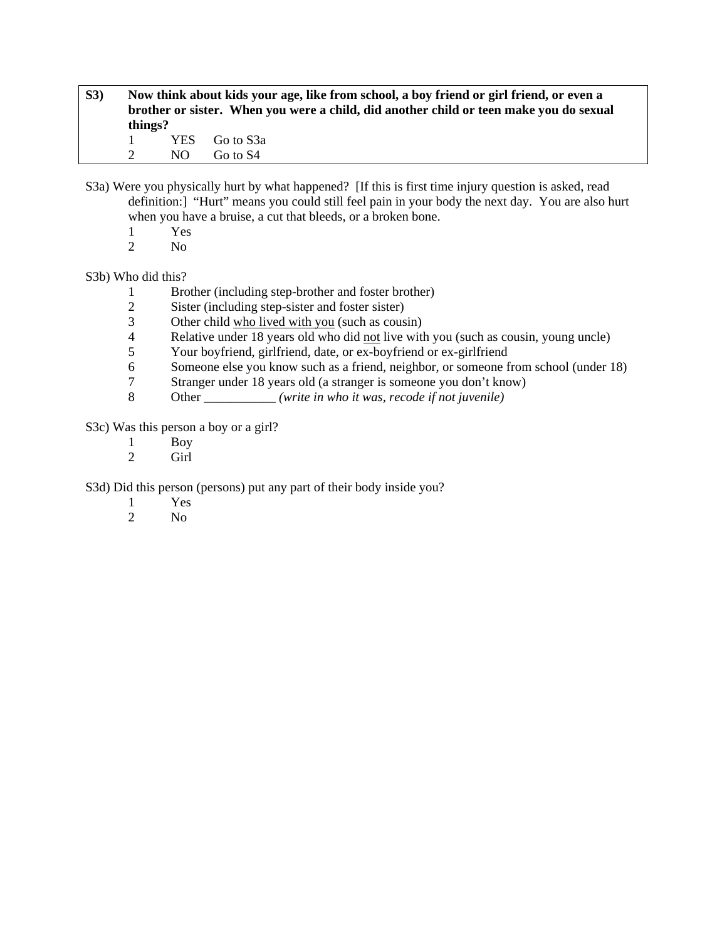- **S3) Now think about kids your age, like from school, a boy friend or girl friend, or even a brother or sister. When you were a child, did another child or teen make you do sexual things?**  1 YES Go to S3a 2 NO Go to S4
- S3a) Were you physically hurt by what happened? [If this is first time injury question is asked, read definition:] "Hurt" means you could still feel pain in your body the next day. You are also hurt when you have a bruise, a cut that bleeds, or a broken bone.
	- 1 Yes
	- 2 No

# S3b) Who did this?

- 1 Brother (including step-brother and foster brother)
- 2 Sister (including step-sister and foster sister)<br>3 Other child who lived with you (such as cous
- Other child who lived with you (such as cousin)
- 4 Relative under 18 years old who did not live with you (such as cousin, young uncle)
- 5 Your boyfriend, girlfriend, date, or ex-boyfriend or ex-girlfriend
- 6 Someone else you know such as a friend, neighbor, or someone from school (under 18)
- 7 Stranger under 18 years old (a stranger is someone you don't know)
- 8 Other *(write in who it was, recode if not juvenile)*

S3c) Was this person a boy or a girl?

- 1 Boy<br>2 Girl
- Girl

S3d) Did this person (persons) put any part of their body inside you?

- 1 Yes<br>2 No
- N<sub>o</sub>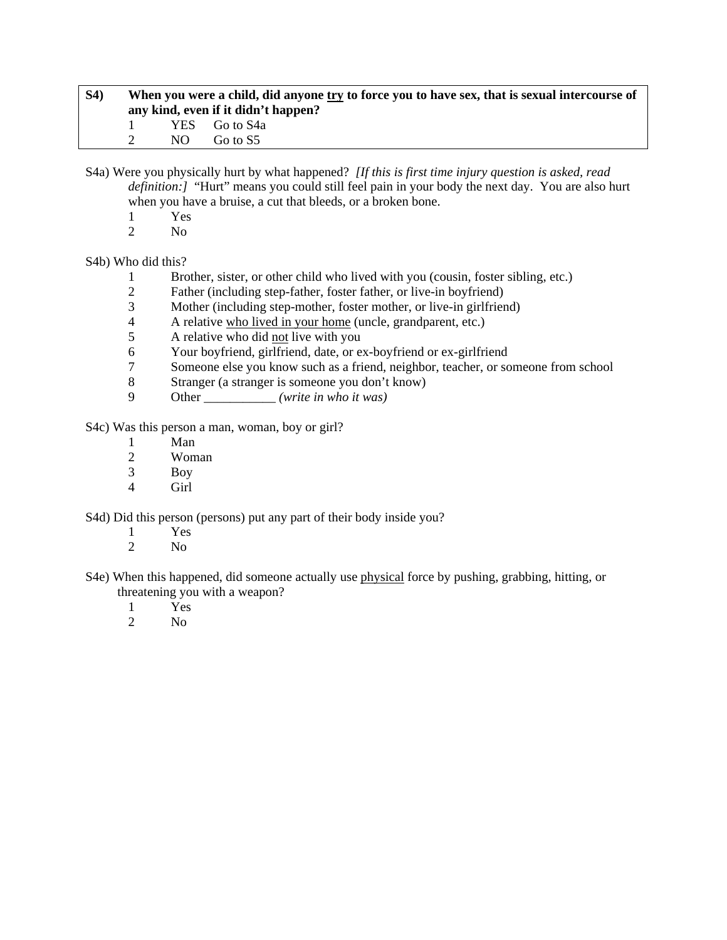| <b>S4</b> ) | When you were a child, did anyone try to force you to have sex, that is sexual intercourse of<br>any kind, even if it didn't happen? |     |               |
|-------------|--------------------------------------------------------------------------------------------------------------------------------------|-----|---------------|
|             |                                                                                                                                      |     | YES Go to S4a |
|             |                                                                                                                                      | NO. | Go to S5      |

S4a) Were you physically hurt by what happened? *[If this is first time injury question is asked, read definition:]* "Hurt" means you could still feel pain in your body the next day. You are also hurt when you have a bruise, a cut that bleeds, or a broken bone.

- $\frac{1}{2}$  Yes
- $N<sub>0</sub>$

S4b) Who did this?

- 1 Brother, sister, or other child who lived with you (cousin, foster sibling, etc.)
- 2 Father (including step-father, foster father, or live-in boyfriend)
- 3 Mother (including step-mother, foster mother, or live-in girlfriend)<br>4 A relative who lived in your home (uncle, grandparent, etc.)
- 4 A relative who lived in your home (uncle, grandparent, etc.)
- 5 A relative who did not live with you
- 6 Your boyfriend, girlfriend, date, or ex-boyfriend or ex-girlfriend<br>
7 Someone else vou know such as a friend, neighbor, teacher, or so
- 7 Someone else you know such as a friend, neighbor, teacher, or someone from school
- 8 Stranger (a stranger is someone you don't know)
- 9 Other \_\_\_\_\_\_\_\_\_\_\_ *(write in who it was)*

S4c) Was this person a man, woman, boy or girl?

- 1 Man
- 2 Woman<br>3 Boy
- Boy
- 4 Girl

S4d) Did this person (persons) put any part of their body inside you?

- 1 Yes
- 2  $N<sub>0</sub>$
- S4e) When this happened, did someone actually use physical force by pushing, grabbing, hitting, or threatening you with a weapon?
	- 1 Yes
	- 2 No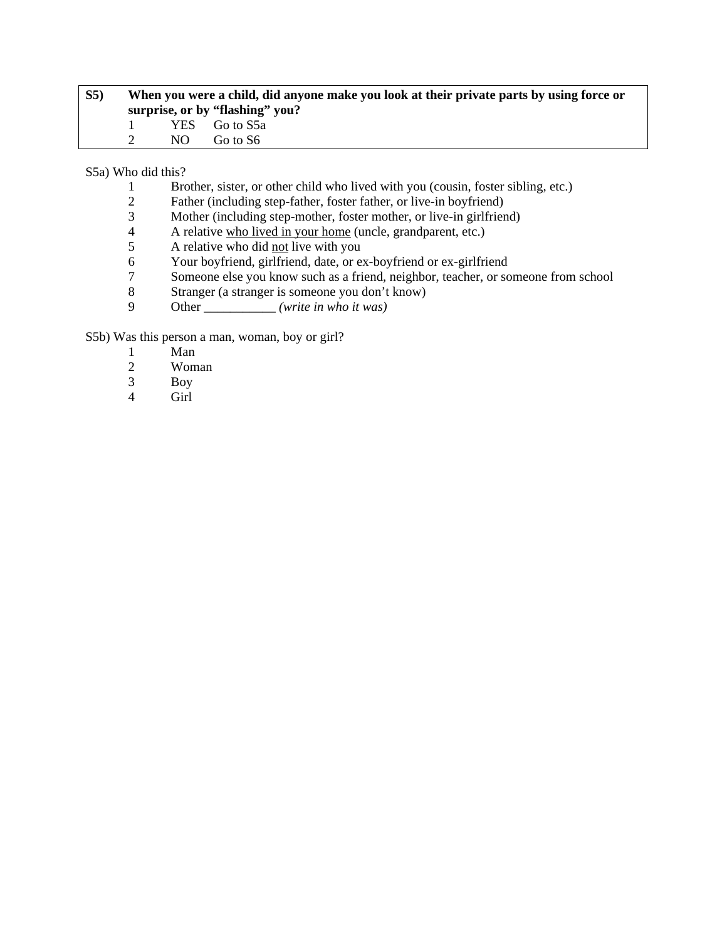| S <sub>5</sub> | When you were a child, did anyone make you look at their private parts by using force or |     |                                 |  |
|----------------|------------------------------------------------------------------------------------------|-----|---------------------------------|--|
|                |                                                                                          |     | surprise, or by "flashing" you? |  |
|                | and the contract of the con-                                                             |     | YES Go to S5a                   |  |
|                |                                                                                          | NO. | Go to S6                        |  |

S5a) Who did this?

- 1 Brother, sister, or other child who lived with you (cousin, foster sibling, etc.)
- 2 Father (including step-father, foster father, or live-in boyfriend)<br>3 Mother (including step-mother, foster mother, or live-in girlfrien
- 3 Mother (including step-mother, foster mother, or live-in girlfriend)<br>4 A relative who lived in your home (uncle, grandparent, etc.)
- 4 A relative who lived in your home (uncle, grandparent, etc.)<br>
A relative who did not live with you
- 5 A relative who did <u>not</u> live with you<br>6 Your boyfriend, girlfriend, date, or e
- Your boyfriend, girlfriend, date, or ex-boyfriend or ex-girlfriend
- 7 Someone else you know such as a friend, neighbor, teacher, or someone from school
- 8 Stranger (a stranger is someone you don't know)
- 9 Other \_\_\_\_\_\_\_\_\_\_\_ *(write in who it was)*

S5b) Was this person a man, woman, boy or girl?

- 1 Man<br>2 Wom
- 2 Woman<br>3 Boy
- Boy
- 4 Girl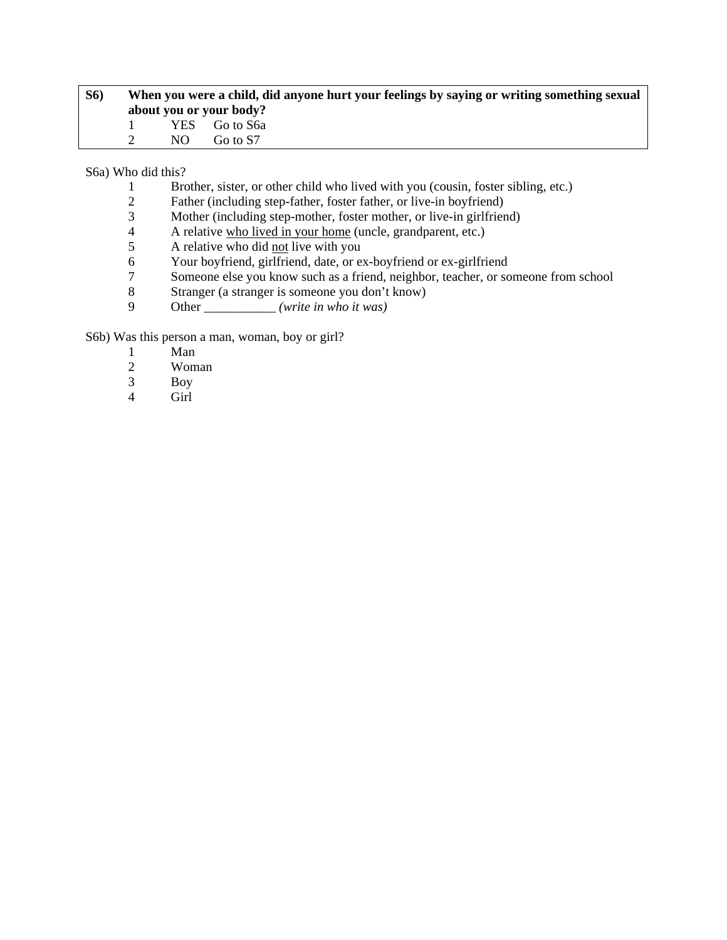| <b>S6</b> ) | When you were a child, did anyone hurt your feelings by saying or writing something sexual |     |                         |  |
|-------------|--------------------------------------------------------------------------------------------|-----|-------------------------|--|
|             |                                                                                            |     | about you or your body? |  |
|             |                                                                                            |     | YES Go to S6a           |  |
|             |                                                                                            | NO. | Go to S7                |  |

S6a) Who did this?

- 1 Brother, sister, or other child who lived with you (cousin, foster sibling, etc.)
- 2 Father (including step-father, foster father, or live-in boyfriend)<br>3 Mother (including step-mother, foster mother, or live-in girlfrien
- 3 Mother (including step-mother, foster mother, or live-in girlfriend)<br>4 A relative who lived in your home (uncle, grandparent, etc.)
- 4 A relative who lived in your home (uncle, grandparent, etc.)<br>
A relative who did not live with you
- 5 A relative who did <u>not</u> live with you<br>6 Your boyfriend, girlfriend, date, or e
- Your boyfriend, girlfriend, date, or ex-boyfriend or ex-girlfriend
- 7 Someone else you know such as a friend, neighbor, teacher, or someone from school
- 8 Stranger (a stranger is someone you don't know)
- 9 Other \_\_\_\_\_\_\_\_\_\_\_ *(write in who it was)*

S6b) Was this person a man, woman, boy or girl?

- 1 Man<br>2 Wom
- 2 Woman<br>3 Boy
- Boy
- 4 Girl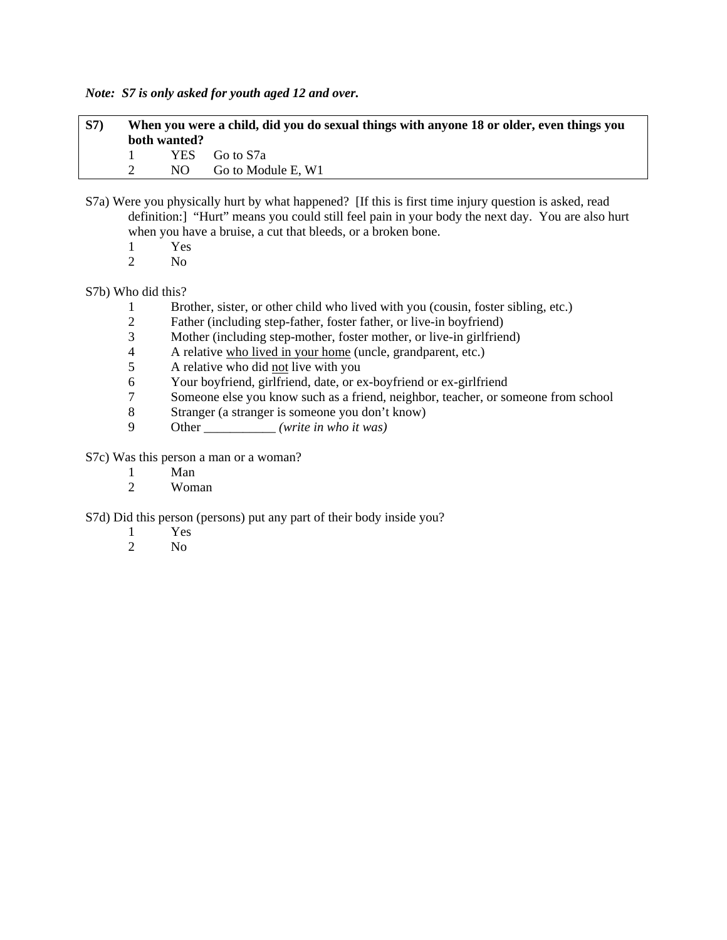*Note: S7 is only asked for youth aged 12 and over.* 

| <b>S7</b> ) | When you were a child, did you do sexual things with anyone 18 or older, even things you |              |                    |  |
|-------------|------------------------------------------------------------------------------------------|--------------|--------------------|--|
|             |                                                                                          | both wanted? |                    |  |
|             |                                                                                          |              | YES Go to S7a      |  |
|             |                                                                                          | NO.          | Go to Module E, W1 |  |

- S7a) Were you physically hurt by what happened? [If this is first time injury question is asked, read definition:] "Hurt" means you could still feel pain in your body the next day. You are also hurt when you have a bruise, a cut that bleeds, or a broken bone.
	- 1 Yes<br>2 No
	- No.

# S7b) Who did this?

- 1 Brother, sister, or other child who lived with you (cousin, foster sibling, etc.)<br>2 Father (including step-father, foster father, or live-in boyfriend)
- Father (including step-father, foster father, or live-in boyfriend)
- 3 Mother (including step-mother, foster mother, or live-in girlfriend)
- 4 A relative who lived in your home (uncle, grandparent, etc.)<br>
A relative who did not live with you
- 5 A relative who did not live with you
- 6 Your boyfriend, girlfriend, date, or ex-boyfriend or ex-girlfriend
- 7 Someone else you know such as a friend, neighbor, teacher, or someone from school
- 8 Stranger (a stranger is someone you don't know)
- 9 Other \_\_\_\_\_\_\_\_\_\_\_ *(write in who it was)*

S7c) Was this person a man or a woman?

- 1 Man
- 2 Woman

S7d) Did this person (persons) put any part of their body inside you?

- 1 Yes
- 2 No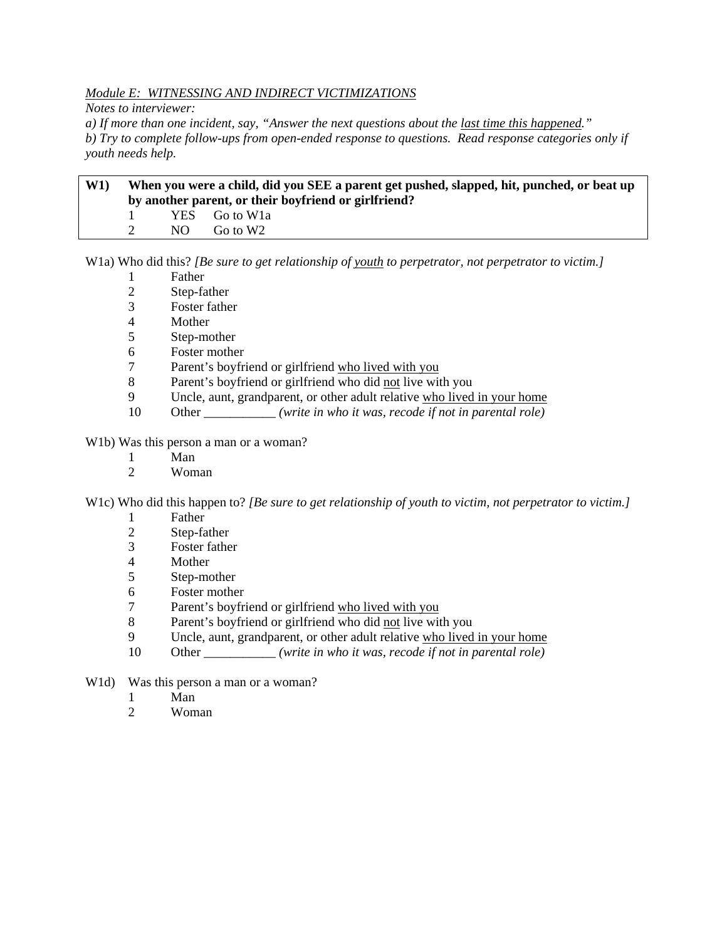# *Module E: WITNESSING AND INDIRECT VICTIMIZATIONS*

*Notes to interviewer:* 

*a) If more than one incident, say, "Answer the next questions about the last time this happened." b) Try to complete follow-ups from open-ended response to questions. Read response categories only if youth needs help.* 

# **W1) When you were a child, did you SEE a parent get pushed, slapped, hit, punched, or beat up by another parent, or their boyfriend or girlfriend?**  1 YES Go to W1a 2 NO Go to W2

W1a) Who did this? *[Be sure to get relationship of youth to perpetrator, not perpetrator to victim.]*

- 1 Father
- 2 Step-father
- 3 Foster father
- 4 Mother
- 5 Step-mother
- 6 Foster mother
- 7 Parent's boyfriend or girlfriend who lived with you
- 8 Parent's boyfriend or girlfriend who did not live with you
- 9 Uncle, aunt, grandparent, or other adult relative who lived in your home
- 10 Other \_\_\_\_\_\_\_\_\_\_\_ *(write in who it was, recode if not in parental role)*

W1b) Was this person a man or a woman?

- 1 Man<br>2 Wom
- Woman

W1c) Who did this happen to? *[Be sure to get relationship of youth to victim, not perpetrator to victim.]*

- 1 Father
- 2 Step-father
- 3 Foster father
- 4 Mother
- 5 Step-mother
- 6 Foster mother
- 7 Parent's boyfriend or girlfriend who lived with you
- 8 Parent's boyfriend or girlfriend who did not live with you
- 9 Uncle, aunt, grandparent, or other adult relative who lived in your home
- 10 Other \_\_\_\_\_\_\_\_\_\_\_ *(write in who it was, recode if not in parental role)*
- W<sub>1</sub>d) Was this person a man or a woman?
	- 1 Man
	- 2 Woman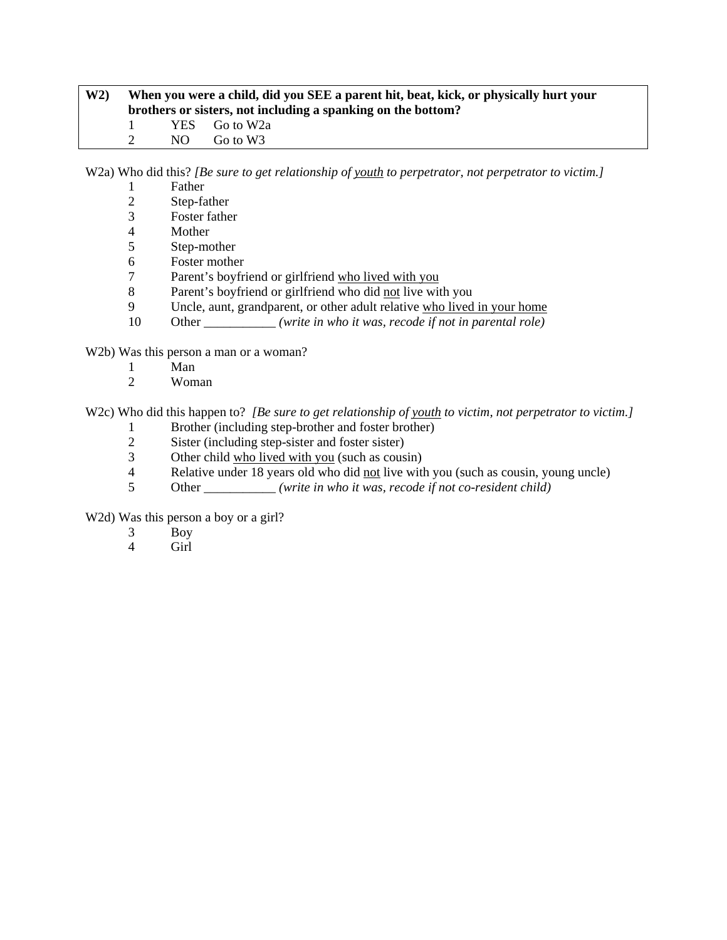| W2 | When you were a child, did you SEE a parent hit, beat, kick, or physically hurt your<br>brothers or sisters, not including a spanking on the bottom? |     |               |
|----|------------------------------------------------------------------------------------------------------------------------------------------------------|-----|---------------|
|    |                                                                                                                                                      |     | YES Go to W2a |
|    |                                                                                                                                                      | NO. | Go to W3      |

W2a) Who did this? *[Be sure to get relationship of youth to perpetrator, not perpetrator to victim.]*

- 1 Father
- 2 Step-father<br>3 Foster fathe
- 3 Foster father
- **Mother**
- 5 Step-mother
- 6 Foster mother
- 7 Parent's boyfriend or girlfriend who lived with you
- 8 Parent's boyfriend or girlfriend who did not live with you
- 9 Uncle, aunt, grandparent, or other adult relative who lived in your home
- 10 Other *<i>(write in who it was, recode if not in parental role)*

W2b) Was this person a man or a woman?

- 1 Man
- 2 Woman

W2c) Who did this happen to? *[Be sure to get relationship of youth to victim, not perpetrator to victim.]* 

- 1 Brother (including step-brother and foster brother)<br>2 Sister (including step-sister and foster sister)
- Sister (including step-sister and foster sister)
- 3 Other child who lived with you (such as cousin)<br>4 Relative under 18 years old who did not live with
- Relative under 18 years old who did not live with you (such as cousin, young uncle)
- 5 Other \_\_\_\_\_\_\_\_\_\_\_ *(write in who it was, recode if not co-resident child)*

W2d) Was this person a boy or a girl?

- 3 Boy
- 4 Girl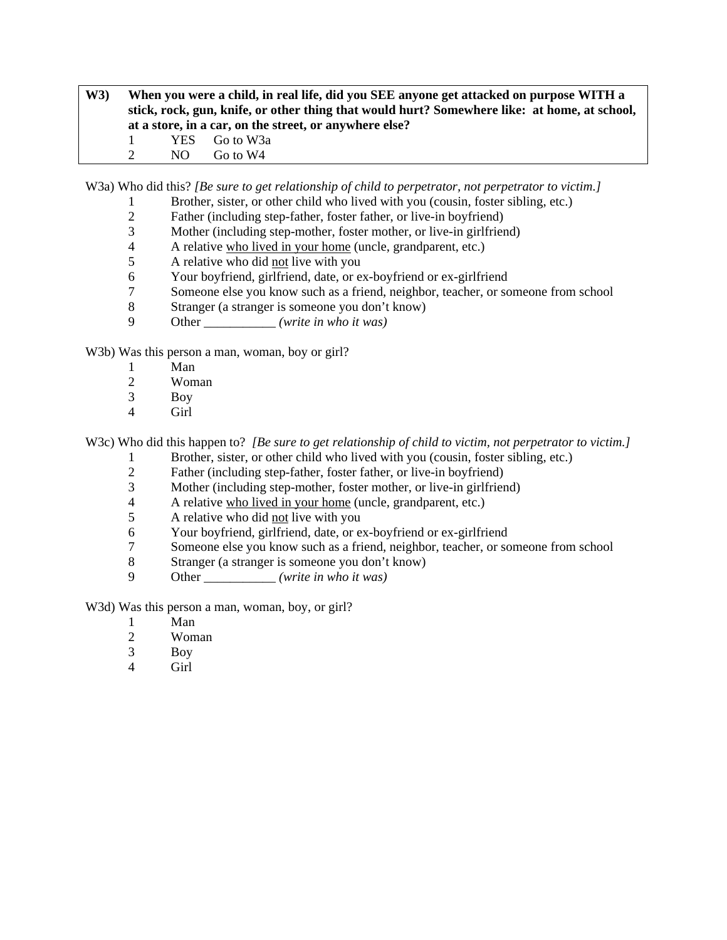**W3) When you were a child, in real life, did you SEE anyone get attacked on purpose WITH a stick, rock, gun, knife, or other thing that would hurt? Somewhere like: at home, at school, at a store, in a car, on the street, or anywhere else?**  1 YES Go to W3a 2 NO Go to W4

W3a) Who did this? *[Be sure to get relationship of child to perpetrator, not perpetrator to victim.]*

- 1 Brother, sister, or other child who lived with you (cousin, foster sibling, etc.)<br>2 Father (including step-father, foster father, or live-in boyfriend)
- 2 Father (including step-father, foster father, or live-in boyfriend)<br>3 Mother (including step-mother, foster mother, or live-in girlfrien
- Mother (including step-mother, foster mother, or live-in girlfriend)
- 4 A relative who lived in your home (uncle, grandparent, etc.)
- 5 A relative who did not live with you
- 6 Your boyfriend, girlfriend, date, or ex-boyfriend or ex-girlfriend
- 7 Someone else you know such as a friend, neighbor, teacher, or someone from school
- 8 Stranger (a stranger is someone you don't know)
- 9 Other \_\_\_\_\_\_\_\_\_\_\_ *(write in who it was)*

W3b) Was this person a man, woman, boy or girl?

- 1 Man
- 2 Woman
- 3 Boy
- 4 Girl

W3c) Who did this happen to? *[Be sure to get relationship of child to victim, not perpetrator to victim.]* 

- 1 Brother, sister, or other child who lived with you (cousin, foster sibling, etc.)
- 2 Father (including step-father, foster father, or live-in boyfriend)
- 3 Mother (including step-mother, foster mother, or live-in girlfriend)
- 4 A relative who lived in your home (uncle, grandparent, etc.)
- 5 A relative who did not live with you
- 6 Your boyfriend, girlfriend, date, or ex-boyfriend or ex-girlfriend
- 7 Someone else you know such as a friend, neighbor, teacher, or someone from school
- 8 Stranger (a stranger is someone you don't know)
- 9 Other \_\_\_\_\_\_\_\_\_\_\_ *(write in who it was)*

W3d) Was this person a man, woman, boy, or girl?

- 1 Man
- 2 Woman
- 3 Boy
- 4 Girl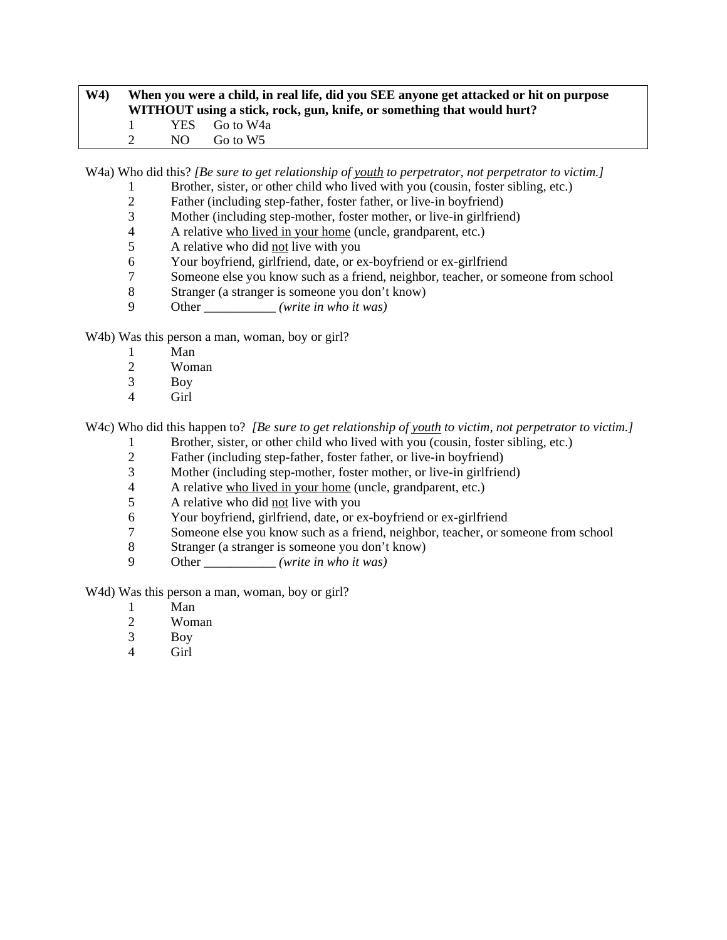# **W4) When you were a child, in real life, did you SEE anyone get attacked or hit on purpose WITHOUT using a stick, rock, gun, knife, or something that would hurt?**  1 YES Go to W4a 2 NO Go to W5

W4a) Who did this? *[Be sure to get relationship of youth to perpetrator, not perpetrator to victim.]* 

- 1 Brother, sister, or other child who lived with you (cousin, foster sibling, etc.)
- 2 Father (including step-father, foster father, or live-in boyfriend)<br>3 Mother (including step-mother, foster mother, or live-in girlfrien
- Mother (including step-mother, foster mother, or live-in girlfriend)
- 4 A relative who lived in your home (uncle, grandparent, etc.)
- 5 A relative who did not live with you
- 6 Your boyfriend, girlfriend, date, or ex-boyfriend or ex-girlfriend
- 7 Someone else you know such as a friend, neighbor, teacher, or someone from school
- 8 Stranger (a stranger is someone you don't know)
- 9 Other \_\_\_\_\_\_\_\_\_\_\_ *(write in who it was)*

W<sub>4</sub>b) Was this person a man, woman, boy or girl?

- 1 Man<br>2 Wom
- Woman
- 3 Boy
- 4 Girl

W4c) Who did this happen to? *[Be sure to get relationship of youth to victim, not perpetrator to victim.]* 

- 1 Brother, sister, or other child who lived with you (cousin, foster sibling, etc.)
- 2 Father (including step-father, foster father, or live-in boyfriend)<br>3 Mother (including step-mother, foster mother, or live-in girlfrien
- 3 Mother (including step-mother, foster mother, or live-in girlfriend)
- 4 A relative who lived in your home (uncle, grandparent, etc.)
- 5 A relative who did not live with you
- 6 Your boyfriend, girlfriend, date, or ex-boyfriend or ex-girlfriend
- 7 Someone else you know such as a friend, neighbor, teacher, or someone from school
- 8 Stranger (a stranger is someone you don't know)
- 9 Other \_\_\_\_\_\_\_\_\_\_\_ *(write in who it was)*

W<sub>4</sub>d) Was this person a man, woman, boy or girl?

- 1 Man
- 2 Woman
- 3 Boy
- 4 Girl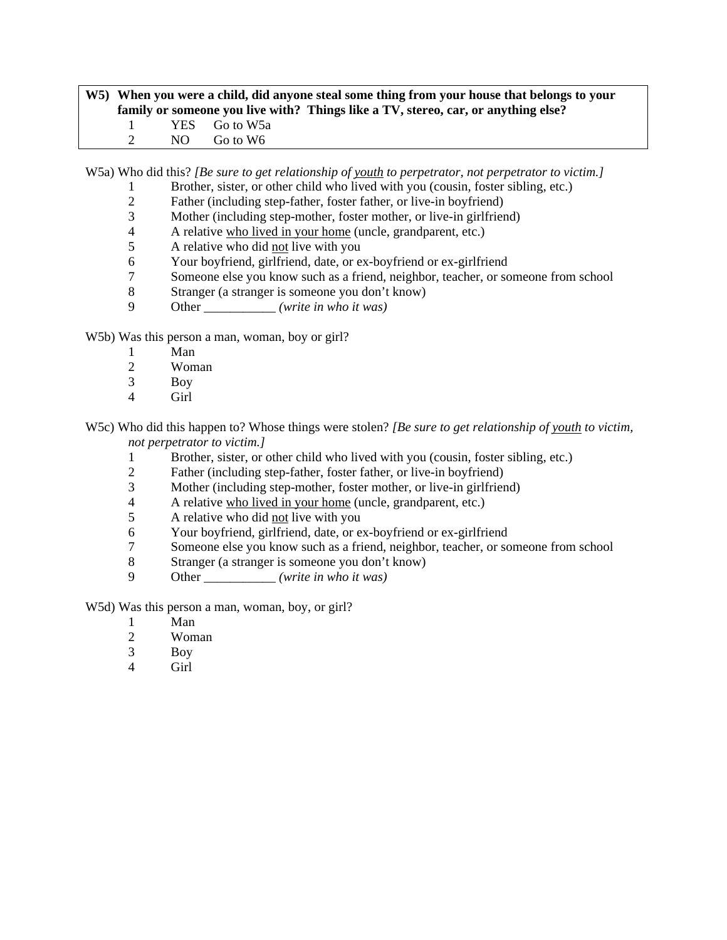# **W5) When you were a child, did anyone steal some thing from your house that belongs to your family or someone you live with? Things like a TV, stereo, car, or anything else?**  1 YES Go to W5a<br>2 NO Go to W6 NO Go to W6

W5a) Who did this? *[Be sure to get relationship of youth to perpetrator, not perpetrator to victim.]*

- 1 Brother, sister, or other child who lived with you (cousin, foster sibling, etc.)
- 2 Father (including step-father, foster father, or live-in boyfriend)<br>3 Mother (including step-mother, foster mother, or live-in girlfrien
- Mother (including step-mother, foster mother, or live-in girlfriend)
- 4 A relative who lived in your home (uncle, grandparent, etc.)
- 5 A relative who did not live with you
- 6 Your boyfriend, girlfriend, date, or ex-boyfriend or ex-girlfriend
- 7 Someone else you know such as a friend, neighbor, teacher, or someone from school
- 8 Stranger (a stranger is someone you don't know)
- 9 Other \_\_\_\_\_\_\_\_\_\_\_ *(write in who it was)*

W5b) Was this person a man, woman, boy or girl?

- 1 Man<br>2 Wom
- Woman
- 3 Boy
- 4 Girl

W5c) Who did this happen to? Whose things were stolen? *[Be sure to get relationship of youth to victim, not perpetrator to victim.]*

- 1 Brother, sister, or other child who lived with you (cousin, foster sibling, etc.)
- 2 Father (including step-father, foster father, or live-in boyfriend)
- 3 Mother (including step-mother, foster mother, or live-in girlfriend)
- 4 A relative who lived in your home (uncle, grandparent, etc.)
- 5 A relative who did not live with you
- 6 Your boyfriend, girlfriend, date, or ex-boyfriend or ex-girlfriend
- 7 Someone else you know such as a friend, neighbor, teacher, or someone from school
- 8 Stranger (a stranger is someone you don't know)
- 9 Other \_\_\_\_\_\_\_\_\_\_\_ *(write in who it was)*

W5d) Was this person a man, woman, boy, or girl?

- 1 Man
- 2 Woman
- 3 Boy
- 4 Girl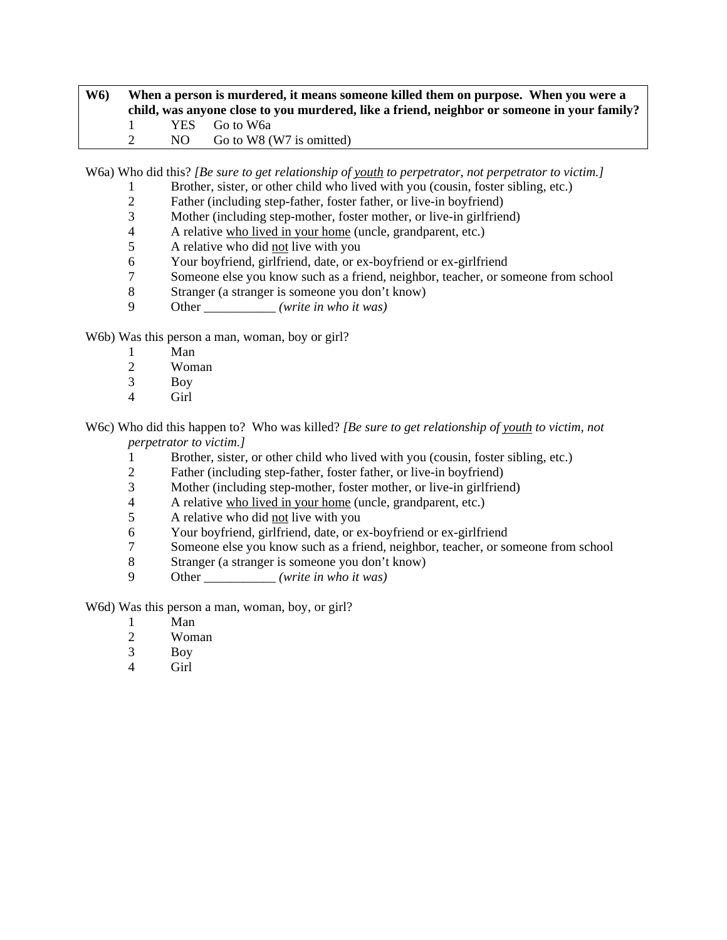# **W6) When a person is murdered, it means someone killed them on purpose. When you were a child, was anyone close to you murdered, like a friend, neighbor or someone in your family?**  1 YES Go to W6a 2 NO Go to W8 (W7 is omitted)

W6a) Who did this? *[Be sure to get relationship of youth to perpetrator, not perpetrator to victim.]*

- 1 Brother, sister, or other child who lived with you (cousin, foster sibling, etc.)
- 2 Father (including step-father, foster father, or live-in boyfriend)<br>3 Mother (including step-mother, foster mother, or live-in girlfrien
- Mother (including step-mother, foster mother, or live-in girlfriend)
- 4 A relative who lived in your home (uncle, grandparent, etc.)
- 5 A relative who did not live with you
- 6 Your boyfriend, girlfriend, date, or ex-boyfriend or ex-girlfriend
- 7 Someone else you know such as a friend, neighbor, teacher, or someone from school
- 8 Stranger (a stranger is someone you don't know)
- 9 Other \_\_\_\_\_\_\_\_\_\_\_ *(write in who it was)*

W6b) Was this person a man, woman, boy or girl?

- 1 Man<br>2 Wom
- Woman
- 3 Boy
- 4 Girl

W6c) Who did this happen to? Who was killed? *[Be sure to get relationship of youth to victim, not perpetrator to victim.]*

- 1 Brother, sister, or other child who lived with you (cousin, foster sibling, etc.)
- 2 Father (including step-father, foster father, or live-in boyfriend)
- 3 Mother (including step-mother, foster mother, or live-in girlfriend)
- 4 A relative who lived in your home (uncle, grandparent, etc.)
- 5 A relative who did not live with you
- 6 Your boyfriend, girlfriend, date, or ex-boyfriend or ex-girlfriend
- 7 Someone else you know such as a friend, neighbor, teacher, or someone from school
- 8 Stranger (a stranger is someone you don't know)
- 9 Other \_\_\_\_\_\_\_\_\_\_\_ *(write in who it was)*

W6d) Was this person a man, woman, boy, or girl?

- 1 Man
- 2 Woman
- 3 Boy
- 4 Girl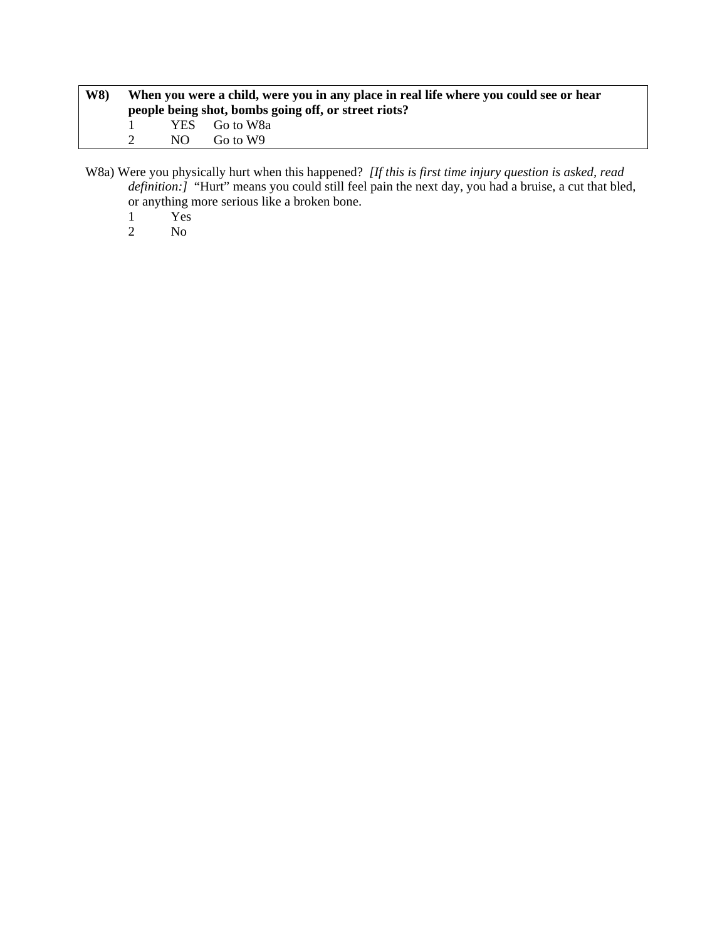| <b>W8</b> ) | When you were a child, were you in any place in real life where you could see or hear |     |                                                      |  |
|-------------|---------------------------------------------------------------------------------------|-----|------------------------------------------------------|--|
|             |                                                                                       |     | people being shot, bombs going off, or street riots? |  |
|             | $\mathbf{I}$                                                                          |     | YES Go to W8a                                        |  |
|             |                                                                                       | NO. | Go to W9                                             |  |

W8a) Were you physically hurt when this happened? *[If this is first time injury question is asked, read definition:]* "Hurt" means you could still feel pain the next day, you had a bruise, a cut that bled, or anything more serious like a broken bone.

- 1 Yes
- 2 No